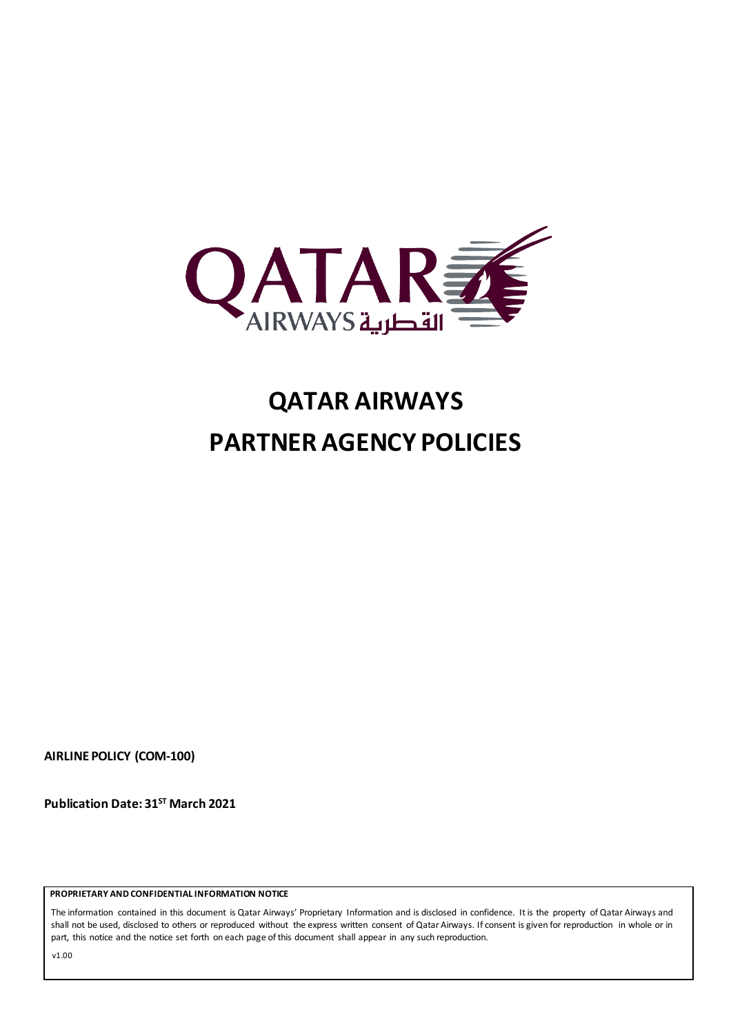

# **QATAR AIRWAYS PARTNER AGENCY POLICIES**

**AIRLINE POLICY (COM-100)**

**Publication Date: 31ST March 2021**

 **PROPRIETARY AND CONFIDENTIAL INFORMATION NOTICE**

The information contained in this document is Qatar Airways' Proprietary Information and is disclosed in confidence. It is the property of Qatar Airways and shall not be used, disclosed to others or reproduced without the express written consent of Qatar Airways. If consent is given for reproduction in whole or in part, this notice and the notice set forth on each page of this document shall appear in any such reproduction.

v1.00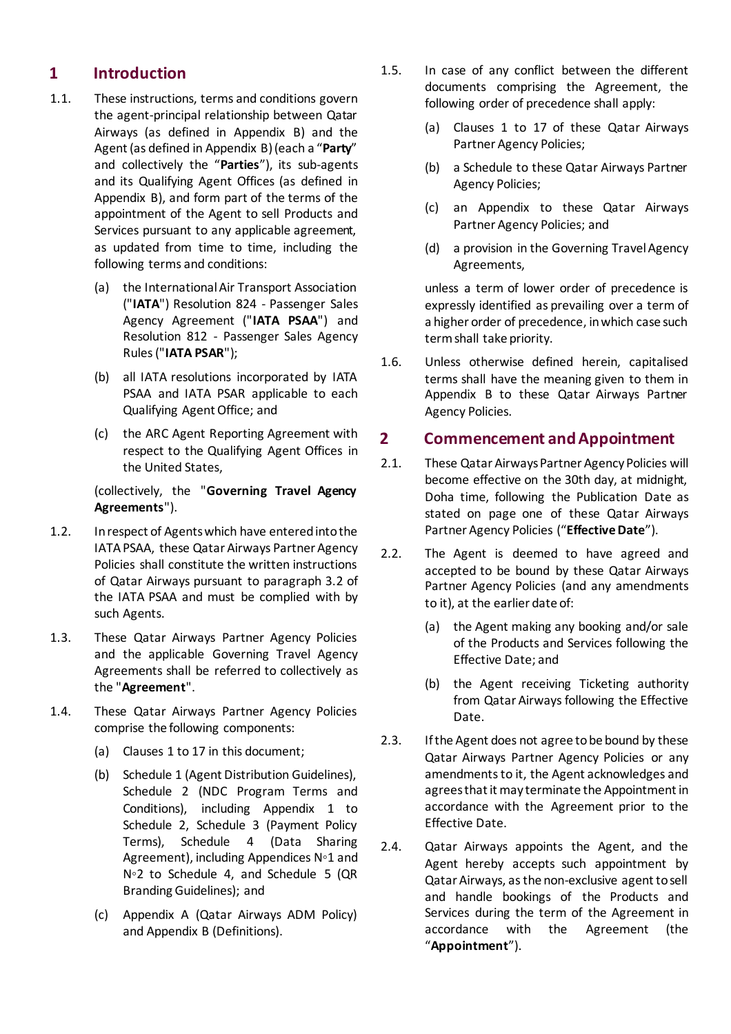### **1 Introduction**

- <span id="page-1-3"></span>1.1. These instructions, terms and conditions govern the agent-principal relationship between Qatar Airways (as defined in Appendix B) and the Agent (as defined in Appendix B)(each a "**Party**" and collectively the "**Parties**"), its sub-agents and its Qualifying Agent Offices (as defined in Appendix B), and form part of the terms of the appointment of the Agent to sell Products and Services pursuant to any applicable agreement, as updated from time to time, including the following terms and conditions:
	- (a) the International Air Transport Association ("**IATA**") Resolution 824 - Passenger Sales Agency Agreement ("**IATA PSAA**") and Resolution 812 - Passenger Sales Agency Rules ("**IATA PSAR**");
	- (b) all IATA resolutions incorporated by IATA PSAA and IATA PSAR applicable to each Qualifying AgentOffice; and
	- (c) the ARC Agent Reporting Agreement with respect to the Qualifying Agent Offices in the United States,

(collectively, the "**Governing Travel Agency Agreements**").

- 1.2. In respect of Agents which have entered into the IATA PSAA, these Qatar Airways Partner Agency Policies shall constitute the written instructions of Qatar Airways pursuant to paragraph 3.2 of the IATA PSAA and must be complied with by such Agents.
- <span id="page-1-0"></span>1.3. These Qatar Airways Partner Agency Policies and the applicable Governing Travel Agency Agreements shall be referred to collectively as the "**Agreement**".
- 1.4. These Qatar Airways Partner Agency Policies comprise the following components:
	- (a) Clauses 1 t[o 17](#page-7-0) in this document;
	- (b) Schedule 1 (Agent Distribution Guidelines), Schedule 2 (NDC Program Terms and Conditions), including Appendix 1 to Schedule 2, Schedule 3 (Payment Policy Terms), Schedule 4 (Data Sharing Agreement), including Appendices N◦1 and N◦2 to Schedule 4, and Schedule 5 (QR Branding Guidelines); and
	- (c) Appendix A (Qatar Airways ADM Policy) and Appendix B (Definitions).
- 1.5. In case of any conflict between the different documents comprising the Agreement, the following order of precedence shall apply:
	- (a) Clauses 1 to [17](#page-7-0) of these Qatar Airways Partner Agency Policies;
	- (b) a Schedule to these Qatar Airways Partner Agency Policies;
	- (c) an Appendix to these Qatar Airways Partner Agency Policies; and
	- (d) a provision in the Governing Travel Agency Agreements,

unless a term of lower order of precedence is expressly identified as prevailing over a term of a higher order of precedence, in which case such term shall take priority.

1.6. Unless otherwise defined herein, capitalised terms shall have the meaning given to them in Appendix B to these Qatar Airways Partner Agency Policies.

#### **2 Commencement and Appointment**

- <span id="page-1-2"></span>2.1. These Qatar Airways Partner Agency Policies will become effective on the 30th day, at midnight, Doha time, following the Publication Date as stated on page one of these Qatar Airways Partner Agency Policies ("**Effective Date**").
- 2.2. The Agent is deemed to have agreed and accepted to be bound by these Qatar Airways Partner Agency Policies (and any amendments to it), at the earlier date of:
	- (a) the Agent making any booking and/or sale of the Products and Services following the Effective Date; and
	- (b) the Agent receiving Ticketing authority from Qatar Airways following the Effective Date.
- 2.3. If the Agent does not agree to be bound by these Qatar Airways Partner Agency Policies or any amendments to it, the Agent acknowledges and agreesthat it may terminate the Appointment in accordance with the Agreement prior to the Effective Date.
- <span id="page-1-1"></span>2.4. Qatar Airways appoints the Agent, and the Agent hereby accepts such appointment by Qatar Airways, as the non-exclusive agent to sell and handle bookings of the Products and Services during the term of the Agreement in accordance with the Agreement (the "**Appointment**").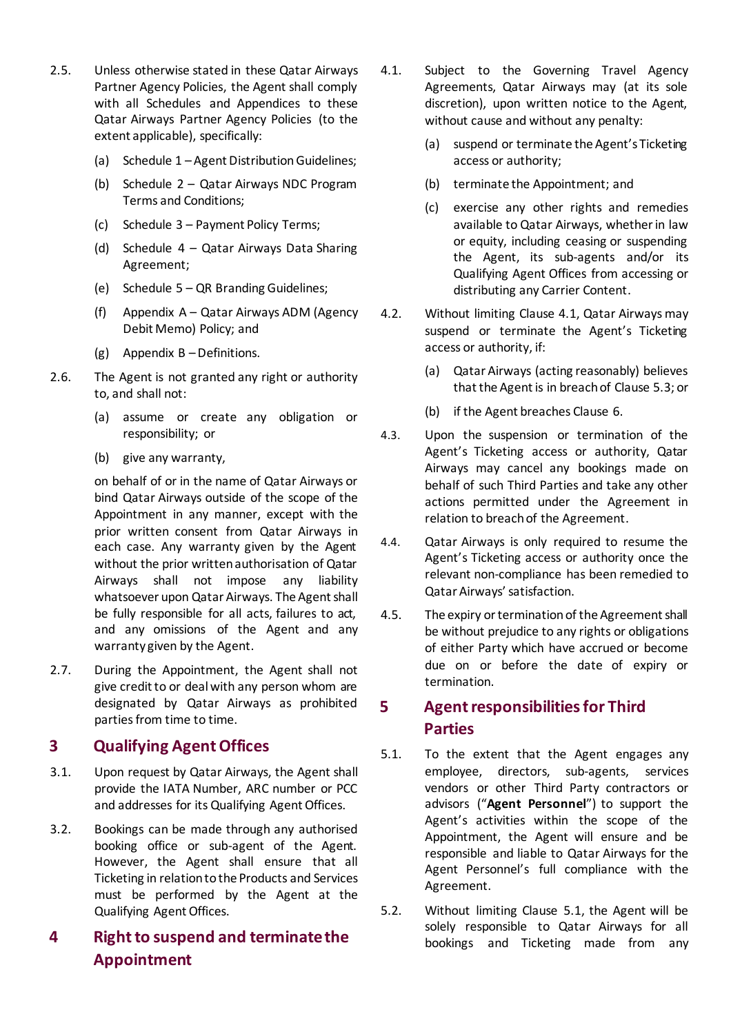- 2.5. Unless otherwise stated in these Qatar Airways Partner Agency Policies, the Agent shall comply with all Schedules and Appendices to these Qatar Airways Partner Agency Policies (to the extent applicable), specifically:
	- (a) Schedule 1 Agent Distribution Guidelines;
	- (b) Schedule 2 Qatar Airways NDC Program Terms and Conditions;
	- (c) Schedule 3 Payment Policy Terms;
	- (d) Schedule 4 Qatar Airways Data Sharing Agreement;
	- (e) Schedule 5 QR Branding Guidelines;
	- (f) Appendix A Qatar Airways ADM (Agency Debit Memo) Policy; and
	- (g) Appendix B –Definitions.
- 2.6. The Agent is not granted any right or authority to, and shall not:
	- (a) assume or create any obligation or responsibility; or
	- (b) give any warranty,

on behalf of or in the name of Qatar Airways or bind Qatar Airways outside of the scope of the Appointment in any manner, except with the prior written consent from Qatar Airways in each case. Any warranty given by the Agent without the prior written authorisation of Qatar Airways shall not impose any liability whatsoever upon Qatar Airways. The Agent shall be fully responsible for all acts, failures to act, and any omissions of the Agent and any warranty given by the Agent.

2.7. During the Appointment, the Agent shall not give credit to or deal with any person whom are designated by Qatar Airways as prohibited parties from time to time.

### **3 Qualifying Agent Offices**

- 3.1. Upon request by Qatar Airways, the Agent shall provide the IATA Number, ARC number or PCC and addresses for its Qualifying Agent Offices.
- 3.2. Bookings can be made through any authorised booking office or sub-agent of the Agent. However, the Agent shall ensure that all Ticketing in relation to the Products and Services must be performed by the Agent at the Qualifying Agent Offices.

### **4 Right to suspend and terminate the Appointment**

- <span id="page-2-0"></span>4.1. Subject to the Governing Travel Agency Agreements, Qatar Airways may (at its sole discretion), upon written notice to the Agent, without cause and without any penalty:
	- (a) suspend or terminate the Agent's Ticketing access or authority;
	- (b) terminate the Appointment; and
	- (c) exercise any other rights and remedies available to Qatar Airways, whether in law or equity, including ceasing or suspending the Agent, its sub-agents and/or its Qualifying Agent Offices from accessing or distributing any Carrier Content.
- 4.2. Without limiting Clause [4.1,](#page-2-0) Qatar Airways may suspend or terminate the Agent's Ticketing access or authority, if:
	- (a) Qatar Airways (acting reasonably) believes that the Agent is in breach of Claus[e 5.3;](#page-3-0) or
	- (b) if the Agent breaches Clause 6.
- 4.3. Upon the suspension or termination of the Agent's Ticketing access or authority, Qatar Airways may cancel any bookings made on behalf of such Third Parties and take any other actions permitted under the Agreement in relation to breach of the Agreement.
- 4.4. Qatar Airways is only required to resume the Agent's Ticketing access or authority once the relevant non-compliance has been remedied to Qatar Airways' satisfaction.
- <span id="page-2-2"></span>4.5. The expiry or termination of the Agreement shall be without prejudice to any rights or obligations of either Party which have accrued or become due on or before the date of expiry or termination.

### **5 Agent responsibilities for Third Parties**

- <span id="page-2-3"></span><span id="page-2-1"></span>5.1. To the extent that the Agent engages any employee, directors, sub-agents, services vendors or other Third Party contractors or advisors ("**Agent Personnel**") to support the Agent's activities within the scope of the Appointment, the Agent will ensure and be responsible and liable to Qatar Airways for the Agent Personnel's full compliance with the Agreement.
- 5.2. Without limiting Clause [5.1,](#page-2-1) the Agent will be solely responsible to Qatar Airways for all bookings and Ticketing made from any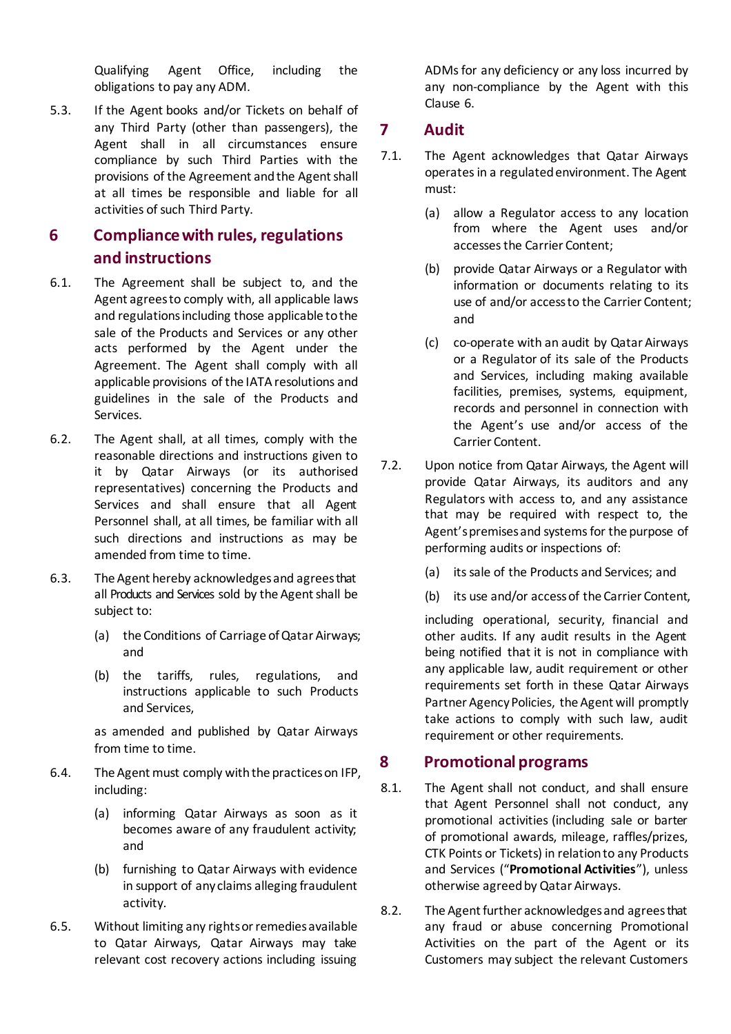Qualifying Agent Office, including the obligations to pay any ADM.

<span id="page-3-0"></span>5.3. If the Agent books and/or Tickets on behalf of any Third Party (other than passengers), the Agent shall in all circumstances ensure compliance by such Third Parties with the provisions of the Agreement and the Agent shall at all times be responsible and liable for all activities of such Third Party.

### **6 Compliancewith rules, regulations and instructions**

- 6.1. The Agreement shall be subject to, and the Agent agrees to comply with, all applicable laws and regulations including those applicable to the sale of the Products and Services or any other acts performed by the Agent under the Agreement. The Agent shall comply with all applicable provisions of the IATA resolutions and guidelines in the sale of the Products and Services.
- 6.2. The Agent shall, at all times, comply with the reasonable directions and instructions given to it by Qatar Airways (or its authorised representatives) concerning the Products and Services and shall ensure that all Agent Personnel shall, at all times, be familiar with all such directions and instructions as may be amended from time to time.
- 6.3. The Agent hereby acknowledges and agrees that all Products and Services sold by the Agent shall be subject to:
	- (a) the Conditions of Carriage of Qatar Airways; and
	- (b) the tariffs, rules, regulations, and instructions applicable to such Products and Services,

as amended and published by Qatar Airways from time to time.

- 6.4. The Agent must comply with the practices on IFP, including:
	- (a) informing Qatar Airways as soon as it becomes aware of any fraudulent activity; and
	- (b) furnishing to Qatar Airways with evidence in support of any claims alleging fraudulent activity.
- 6.5. Without limiting any rights or remedies available to Qatar Airways, Qatar Airways may take relevant cost recovery actions including issuing

ADMs for any deficiency or any loss incurred by any non-compliance by the Agent with this Clause 6.

### **7 Audit**

- 7.1. The Agent acknowledges that Qatar Airways operates in a regulated environment. The Agent must:
	- (a) allow a Regulator access to any location from where the Agent uses and/or accesses the Carrier Content;
	- (b) provide Qatar Airways or a Regulator with information or documents relating to its use of and/or access to the Carrier Content; and
	- (c) co-operate with an audit by Qatar Airways or a Regulator of its sale of the Products and Services, including making available facilities, premises, systems, equipment, records and personnel in connection with the Agent's use and/or access of the Carrier Content.
- 7.2. Upon notice from Qatar Airways, the Agent will provide Qatar Airways, its auditors and any Regulators with access to, and any assistance that may be required with respect to, the Agent's premises and systems for the purpose of performing audits or inspections of:
	- (a) itssale of the Products and Services; and
	- (b) its use and/or access of the Carrier Content,

including operational, security, financial and other audits. If any audit results in the Agent being notified that it is not in compliance with any applicable law, audit requirement or other requirements set forth in these Qatar Airways Partner Agency Policies, the Agent will promptly take actions to comply with such law, audit requirement or other requirements.

### **8 Promotional programs**

- <span id="page-3-1"></span>8.1. The Agent shall not conduct, and shall ensure that Agent Personnel shall not conduct, any promotional activities (including sale or barter of promotional awards, mileage, raffles/prizes, CTK Points or Tickets) in relation to any Products and Services ("**Promotional Activities**"), unless otherwise agreed by Qatar Airways.
- 8.2. The Agent further acknowledges and agrees that any fraud or abuse concerning Promotional Activities on the part of the Agent or its Customers may subject the relevant Customers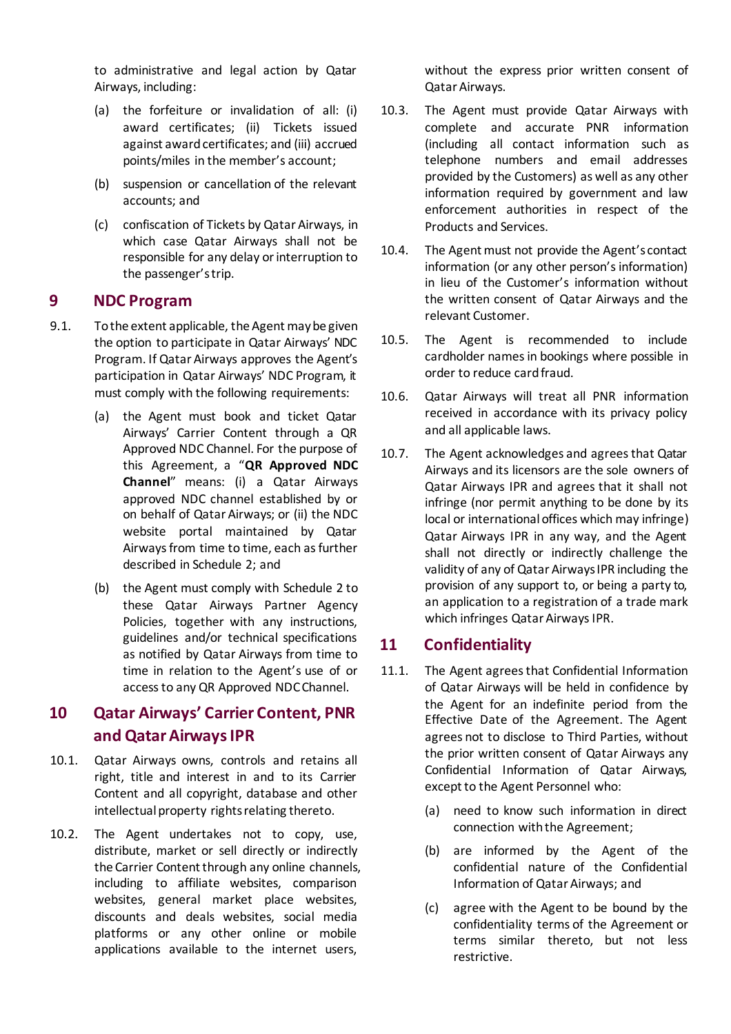to administrative and legal action by Qatar Airways, including:

- (a) the forfeiture or invalidation of all: (i) award certificates; (ii) Tickets issued against award certificates; and (iii) accrued points/miles in the member's account;
- (b) suspension or cancellation of the relevant accounts; and
- (c) confiscation of Tickets by Qatar Airways, in which case Qatar Airways shall not be responsible for any delay or interruption to the passenger's trip.

#### **9 NDC Program**

- <span id="page-4-4"></span><span id="page-4-3"></span>9.1. To the extent applicable, the Agent may be given the option to participate in Qatar Airways' NDC Program. If Qatar Airways approves the Agent's participation in Qatar Airways' NDC Program, it must comply with the following requirements:
	- (a) the Agent must book and ticket Qatar Airways' Carrier Content through a QR Approved NDC Channel. For the purpose of this Agreement, a "**QR Approved NDC Channel**" means: (i) a Qatar Airways approved NDC channel established by or on behalf of Qatar Airways; or (ii) the NDC website portal maintained by Qatar Airways from time to time, each as further described in Schedule 2; and
	- (b) the Agent must comply with Schedule 2 to these Qatar Airways Partner Agency Policies, together with any instructions, guidelines and/or technical specifications as notified by Qatar Airways from time to time in relation to the Agent's use of or accessto any QR Approved NDC Channel.

### **10 Qatar Airways' Carrier Content, PNR and Qatar Airways IPR**

- <span id="page-4-1"></span>10.1. Qatar Airways owns, controls and retains all right, title and interest in and to its Carrier Content and all copyright, database and other intellectual property rights relating thereto.
- 10.2. The Agent undertakes not to copy, use, distribute, market or sell directly or indirectly the Carrier Content through any online channels, including to affiliate websites, comparison websites, general market place websites, discounts and deals websites, social media platforms or any other online or mobile applications available to the internet users,

without the express prior written consent of Qatar Airways.

- 10.3. The Agent must provide Qatar Airways with complete and accurate PNR information (including all contact information such as telephone numbers and email addresses provided by the Customers) as well as any other information required by government and law enforcement authorities in respect of the Products and Services.
- 10.4. The Agent must not provide the Agent's contact information (or any other person's information) in lieu of the Customer's information without the written consent of Qatar Airways and the relevant Customer.
- 10.5. The Agent is recommended to include cardholder names in bookings where possible in order to reduce card fraud.
- 10.6. Qatar Airways will treat all PNR information received in accordance with its privacy policy and all applicable laws.
- <span id="page-4-2"></span>10.7. The Agent acknowledges and agrees that Qatar Airways and its licensors are the sole owners of Qatar Airways IPR and agrees that it shall not infringe (nor permit anything to be done by its local or international offices which may infringe) Qatar Airways IPR in any way, and the Agent shall not directly or indirectly challenge the validity of any of Qatar Airways IPR including the provision of any support to, or being a party to, an application to a registration of a trade mark which infringes Qatar Airways IPR.

### <span id="page-4-0"></span>**11 Confidentiality**

- 11.1. The Agent agrees that Confidential Information of Qatar Airways will be held in confidence by the Agent for an indefinite period from the Effective Date of the Agreement. The Agent agrees not to disclose to Third Parties, without the prior written consent of Qatar Airways any Confidential Information of Qatar Airways, except to the Agent Personnel who:
	- (a) need to know such information in direct connection with the Agreement;
	- (b) are informed by the Agent of the confidential nature of the Confidential Information of Qatar Airways; and
	- (c) agree with the Agent to be bound by the confidentiality terms of the Agreement or terms similar thereto, but not less restrictive.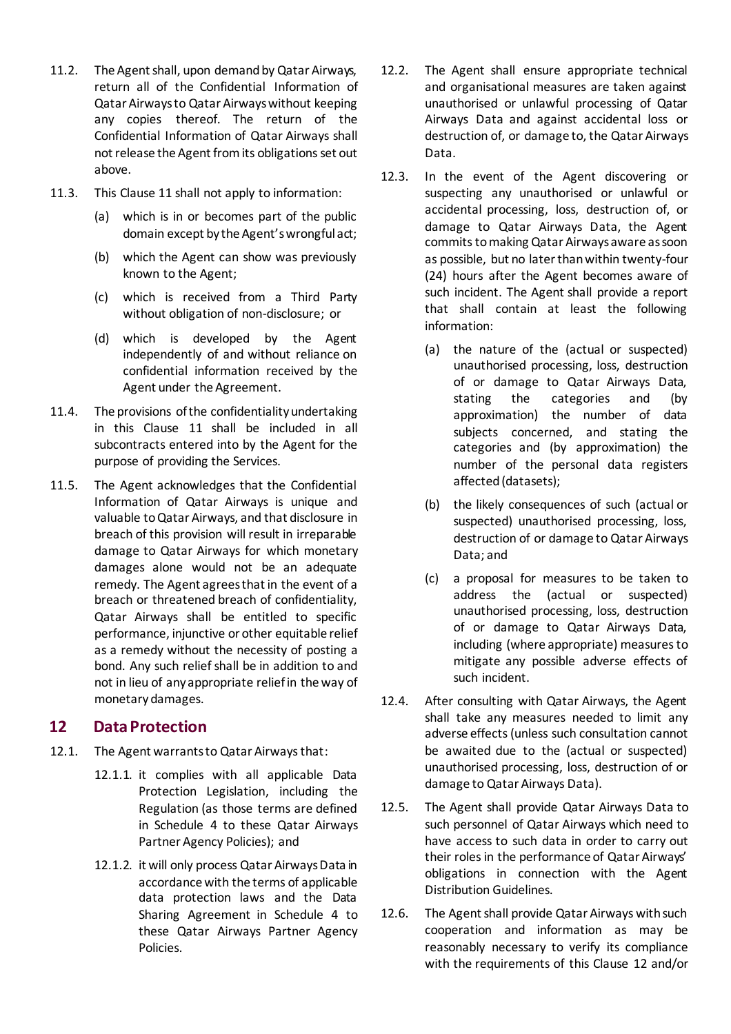- 11.2. The Agent shall, upon demand by Qatar Airways, return all of the Confidential Information of Qatar Airways to Qatar Airways without keeping any copies thereof. The return of the Confidential Information of Qatar Airways shall not release the Agent from its obligations set out above.
- 11.3. This Clause [11](#page-4-0) shall not apply to information:
	- (a) which is in or becomes part of the public domain except by the Agent's wrongful act;
	- (b) which the Agent can show was previously known to the Agent;
	- (c) which is received from a Third Party without obligation of non-disclosure; or
	- (d) which is developed by the Agent independently of and without reliance on confidential information received by the Agent under the Agreement.
- 11.4. The provisions of the confidentiality undertaking in this Clause [11](#page-4-0) shall be included in all subcontracts entered into by the Agent for the purpose of providing the Services.
- 11.5. The Agent acknowledges that the Confidential Information of Qatar Airways is unique and valuable to Qatar Airways, and that disclosure in breach of this provision will result in irreparable damage to Qatar Airways for which monetary damages alone would not be an adequate remedy. The Agent agrees that in the event of a breach or threatened breach of confidentiality, Qatar Airways shall be entitled to specific performance, injunctive or other equitable relief as a remedy without the necessity of posting a bond. Any such relief shall be in addition to and not in lieu of any appropriate relief in the way of monetarydamages.

### <span id="page-5-0"></span>**12 DataProtection**

- 12.1. The Agent warrants to Qatar Airways that:
	- 12.1.1. it complies with all applicable Data Protection Legislation, including the Regulation (as those terms are defined in Schedule 4 to these Qatar Airways Partner Agency Policies); and
	- 12.1.2. it will only process Qatar Airways Data in accordance with the terms of applicable data protection laws and the Data Sharing Agreement in Schedule 4 to these Qatar Airways Partner Agency Policies.
- 12.2. The Agent shall ensure appropriate technical and organisational measures are taken against unauthorised or unlawful processing of Qatar Airways Data and against accidental loss or destruction of, or damage to, the Qatar Airways Data.
- 12.3. In the event of the Agent discovering or suspecting any unauthorised or unlawful or accidental processing, loss, destruction of, or damage to Qatar Airways Data, the Agent commits to making Qatar Airways aware as soon as possible, but no later than within twenty-four (24) hours after the Agent becomes aware of such incident. The Agent shall provide a report that shall contain at least the following information:
	- (a) the nature of the (actual or suspected) unauthorised processing, loss, destruction of or damage to Qatar Airways Data, stating the categories and (by approximation) the number of data subjects concerned, and stating the categories and (by approximation) the number of the personal data registers affected (datasets);
	- (b) the likely consequences of such (actual or suspected) unauthorised processing, loss, destruction of or damage to Qatar Airways Data; and
	- (c) a proposal for measures to be taken to address the (actual or suspected) unauthorised processing, loss, destruction of or damage to Qatar Airways Data, including (where appropriate) measures to mitigate any possible adverse effects of such incident.
- 12.4. After consulting with Qatar Airways, the Agent shall take any measures needed to limit any adverse effects (unless such consultation cannot be awaited due to the (actual or suspected) unauthorised processing, loss, destruction of or damage to Qatar Airways Data).
- 12.5. The Agent shall provide Qatar Airways Data to such personnel of Qatar Airways which need to have access to such data in order to carry out their roles in the performance of Qatar Airways' obligations in connection with the Agent Distribution Guidelines.
- 12.6. The Agent shall provide Qatar Airways with such cooperation and information as may be reasonably necessary to verify its compliance with the requirements of this Clause [12](#page-5-0) and/or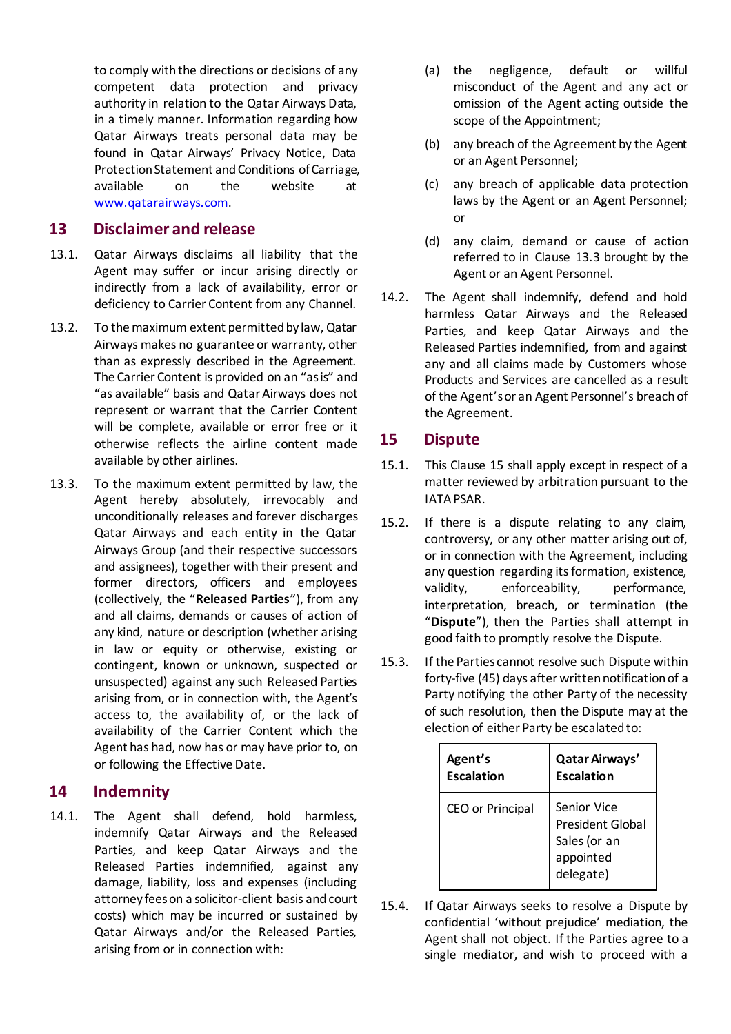to comply with the directions or decisions of any competent data protection and privacy authority in relation to the Qatar Airways Data, in a timely manner. Information regarding how Qatar Airways treats personal data may be found in Qatar Airways' Privacy Notice, Data Protection Statement and Conditions of Carriage, available on the website at [www.qatarairways.com.](http://www.qatarairways.com/)

#### **13 Disclaimer and release**

- 13.1. Qatar Airways disclaims all liability that the Agent may suffer or incur arising directly or indirectly from a lack of availability, error or deficiency to Carrier Content from any Channel.
- 13.2. To the maximum extent permitted by law, Qatar Airways makes no guarantee or warranty, other than as expressly described in the Agreement. The Carrier Content is provided on an "as is" and "as available" basis and Qatar Airways does not represent or warrant that the Carrier Content will be complete, available or error free or it otherwise reflects the airline content made available by other airlines.
- <span id="page-6-4"></span><span id="page-6-0"></span>13.3. To the maximum extent permitted by law, the Agent hereby absolutely, irrevocably and unconditionally releases and forever discharges Qatar Airways and each entity in the Qatar Airways Group (and their respective successors and assignees), together with their present and former directors, officers and employees (collectively, the "**Released Parties**"), from any and all claims, demands or causes of action of any kind, nature or description (whether arising in law or equity or otherwise, existing or contingent, known or unknown, suspected or unsuspected) against any such Released Parties arising from, or in connection with, the Agent's access to, the availability of, or the lack of availability of the Carrier Content which the Agent has had, now has or may have prior to, on or following the Effective Date.

### <span id="page-6-2"></span>**14 Indemnity**

14.1. The Agent shall defend, hold harmless, indemnify Qatar Airways and the Released Parties, and keep Qatar Airways and the Released Parties indemnified, against any damage, liability, loss and expenses (including attorney fees on a solicitor-client basis and court costs) which may be incurred or sustained by Qatar Airways and/or the Released Parties, arising from or in connection with:

- (a) the negligence, default or willful misconduct of the Agent and any act or omission of the Agent acting outside the scope of the Appointment;
- (b) any breach of the Agreement by the Agent or an Agent Personnel;
- (c) any breach of applicable data protection laws by the Agent or an Agent Personnel; or
- (d) any claim, demand or cause of action referred to in Clause [13.3](#page-6-0) brought by the Agent or an Agent Personnel.
- 14.2. The Agent shall indemnify, defend and hold harmless Qatar Airways and the Released Parties, and keep Qatar Airways and the Released Parties indemnified, from and against any and all claims made by Customers whose Products and Services are cancelled as a result of the Agent's or an Agent Personnel's breach of the Agreement.

### <span id="page-6-1"></span>**15 Dispute**

- 15.1. This Clause [15](#page-6-1) shall apply except in respect of a matter reviewed by arbitration pursuant to the IATA PSAR.
- <span id="page-6-3"></span>15.2. If there is a dispute relating to any claim, controversy, or any other matter arising out of, or in connection with the Agreement, including any question regarding its formation, existence, validity, enforceability, performance, interpretation, breach, or termination (the "**Dispute**"), then the Parties shall attempt in good faith to promptly resolve the Dispute.
- 15.3. If the Parties cannot resolve such Dispute within forty-five (45) days after written notification of a Party notifying the other Party of the necessity of such resolution, then the Dispute may at the election of either Party be escalated to:

| Agent's                 | Qatar Airways'                                                                   |
|-------------------------|----------------------------------------------------------------------------------|
| <b>Escalation</b>       | <b>Escalation</b>                                                                |
| <b>CEO</b> or Principal | Senior Vice<br><b>President Global</b><br>Sales (or an<br>appointed<br>delegate) |

15.4. If Qatar Airways seeks to resolve a Dispute by confidential 'without prejudice' mediation, the Agent shall not object. If the Parties agree to a single mediator, and wish to proceed with a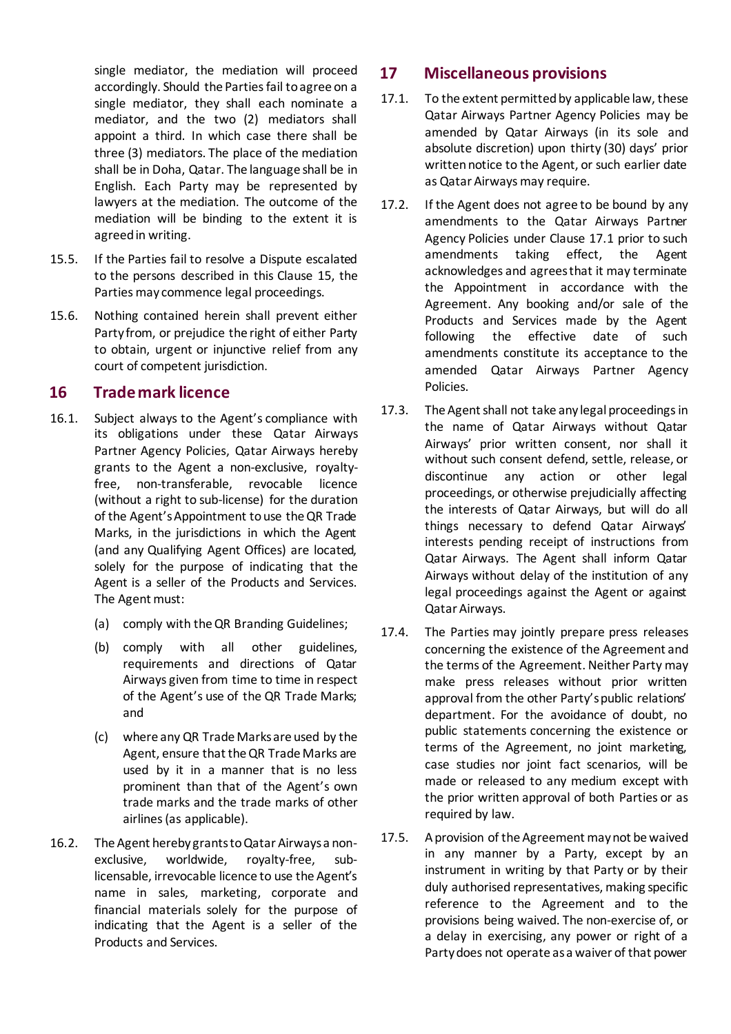single mediator, the mediation will proceed accordingly. Should the Parties fail to agree on a single mediator, they shall each nominate a mediator, and the two (2) mediators shall appoint a third. In which case there shall be three (3) mediators. The place of the mediation shall be in Doha, Qatar. The language shall be in English. Each Party may be represented by lawyers at the mediation. The outcome of the mediation will be binding to the extent it is agreed in writing.

- 15.5. If the Parties fail to resolve a Dispute escalated to the persons described in this Clause [15,](#page-6-1) the Parties may commence legal proceedings.
- 15.6. Nothing contained herein shall prevent either Party from, or prejudice the right of either Party to obtain, urgent or injunctive relief from any court of competent jurisdiction.

#### **16 Trademark licence**

- 16.1. Subject always to the Agent's compliance with its obligations under these Qatar Airways Partner Agency Policies, Qatar Airways hereby grants to the Agent a non-exclusive, royaltyfree, non-transferable, revocable licence (without a right to sub-license) for the duration of the Agent's Appointment to use the QR Trade Marks, in the jurisdictions in which the Agent (and any Qualifying Agent Offices) are located, solely for the purpose of indicating that the Agent is a seller of the Products and Services. The Agent must:
	- (a) comply with the QR Branding Guidelines;
	- (b) comply with all other guidelines, requirements and directions of Qatar Airways given from time to time in respect of the Agent's use of the QR Trade Marks; and
	- (c) where any QR Trade Marks are used by the Agent, ensure that the QR Trade Marks are used by it in a manner that is no less prominent than that of the Agent's own trade marks and the trade marks of other airlines (as applicable).
- 16.2. The Agent hereby grants to Qatar Airways a nonexclusive, worldwide, royalty-free, sublicensable, irrevocable licence to use the Agent's name in sales, marketing, corporate and financial materials solely for the purpose of indicating that the Agent is a seller of the Products and Services.

### <span id="page-7-0"></span>**17 Miscellaneous provisions**

- 17.1. To the extent permitted by applicable law, these Qatar Airways Partner Agency Policies may be amended by Qatar Airways (in its sole and absolute discretion) upon thirty (30) days' prior written notice to the Agent, or such earlier date as Qatar Airways may require.
- <span id="page-7-1"></span>17.2. If the Agent does not agree to be bound by any amendments to the Qatar Airways Partner Agency Policies under Clause [17.1](#page-7-1) prior to such amendments taking effect, the Agent acknowledges and agrees that it may terminate the Appointment in accordance with the Agreement. Any booking and/or sale of the Products and Services made by the Agent following the effective date of such amendments constitute its acceptance to the amended Qatar Airways Partner Agency Policies.
- 17.3. The Agent shall not take any legal proceedings in the name of Qatar Airways without Qatar Airways' prior written consent, nor shall it without such consent defend, settle, release, or discontinue any action or other legal proceedings, or otherwise prejudicially affecting the interests of Qatar Airways, but will do all things necessary to defend Qatar Airways' interests pending receipt of instructions from Qatar Airways. The Agent shall inform Qatar Airways without delay of the institution of any legal proceedings against the Agent or against Qatar Airways.
- 17.4. The Parties may jointly prepare press releases concerning the existence of the Agreement and the terms of the Agreement. Neither Party may make press releases without prior written approval from the other Party's public relations' department. For the avoidance of doubt, no public statements concerning the existence or terms of the Agreement, no joint marketing, case studies nor joint fact scenarios, will be made or released to any medium except with the prior written approval of both Parties or as required by law.
- 17.5. A provision of the Agreement may not be waived in any manner by a Party, except by an instrument in writing by that Party or by their duly authorised representatives, making specific reference to the Agreement and to the provisions being waived. The non-exercise of, or a delay in exercising, any power or right of a Party does not operate as a waiver of that power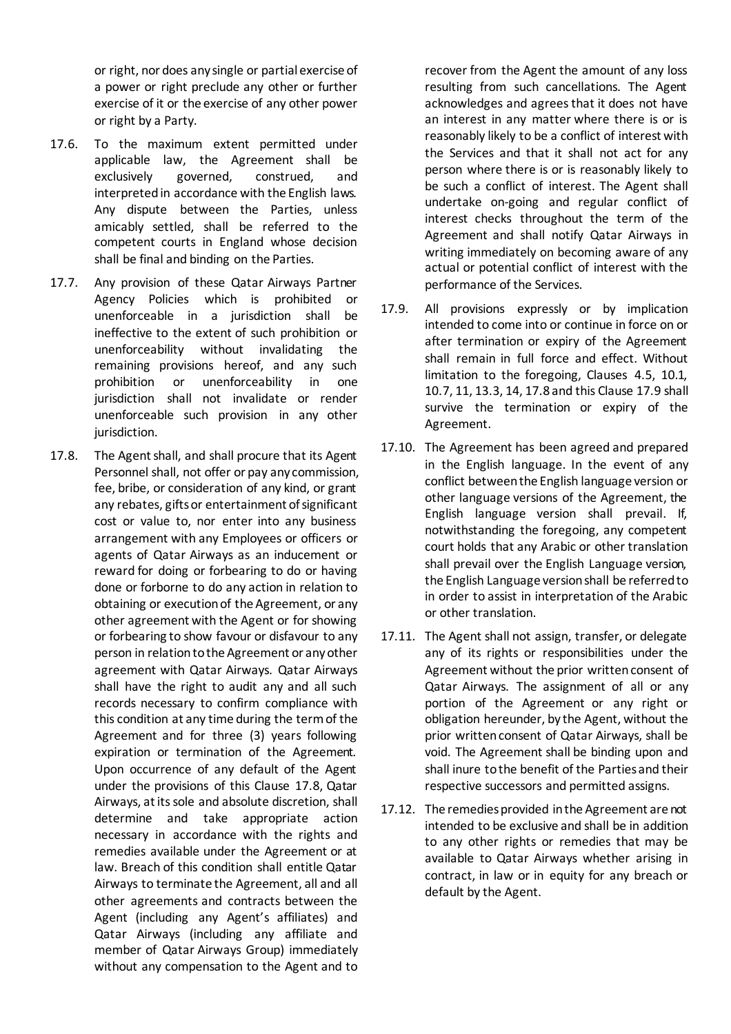or right, nor does any single or partial exercise of a power or right preclude any other or further exercise of it or the exercise of any other power or right by a Party.

- 17.6. To the maximum extent permitted under applicable law, the Agreement shall be exclusively governed, construed, and interpreted in accordance with the English laws. Any dispute between the Parties, unless amicably settled, shall be referred to the competent courts in England whose decision shall be final and binding on the Parties.
- 17.7. Any provision of these Qatar Airways Partner Agency Policies which is prohibited or unenforceable in a jurisdiction shall be ineffective to the extent of such prohibition or unenforceability without invalidating the remaining provisions hereof, and any such prohibition or unenforceability in one jurisdiction shall not invalidate or render unenforceable such provision in any other jurisdiction.
- <span id="page-8-0"></span>17.8. The Agent shall, and shall procure that its Agent Personnel shall, not offer or pay any commission, fee, bribe, or consideration of any kind, or grant any rebates, gifts or entertainment of significant cost or value to, nor enter into any business arrangement with any Employees or officers or agents of Qatar Airways as an inducement or reward for doing or forbearing to do or having done or forborne to do any action in relation to obtaining or execution of the Agreement, or any other agreement with the Agent or for showing or forbearing to show favour or disfavour to any person in relation to the Agreement or any other agreement with Qatar Airways. Qatar Airways shall have the right to audit any and all such records necessary to confirm compliance with this condition at any time during the term of the Agreement and for three (3) years following expiration or termination of the Agreement. Upon occurrence of any default of the Agent under the provisions of this Clause [17.8,](#page-8-0) Qatar Airways, at its sole and absolute discretion, shall determine and take appropriate action necessary in accordance with the rights and remedies available under the Agreement or at law. Breach of this condition shall entitle Qatar Airways to terminate the Agreement, all and all other agreements and contracts between the Agent (including any Agent's affiliates) and Qatar Airways (including any affiliate and member of Qatar Airways Group) immediately without any compensation to the Agent and to

recover from the Agent the amount of any loss resulting from such cancellations. The Agent acknowledges and agrees that it does not have an interest in any matter where there is or is reasonably likely to be a conflict of interest with the Services and that it shall not act for any person where there is or is reasonably likely to be such a conflict of interest. The Agent shall undertake on-going and regular conflict of interest checks throughout the term of the Agreement and shall notify Qatar Airways in writing immediately on becoming aware of any actual or potential conflict of interest with the performance of the Services.

- <span id="page-8-1"></span>17.9. All provisions expressly or by implication intended to come into or continue in force on or after termination or expiry of the Agreement shall remain in full force and effect. Without limitation to the foregoing, Clauses [4.5,](#page-2-2) [10.1,](#page-4-1) [10.7](#page-4-2)[, 11,](#page-4-0) [13.3](#page-6-0)[, 14](#page-6-2)[, 17.8](#page-8-0) and this Claus[e 17.9](#page-8-1) shall survive the termination or expiry of the Agreement.
- 17.10. The Agreement has been agreed and prepared in the English language. In the event of any conflict between the English language version or other language versions of the Agreement, the English language version shall prevail. If, notwithstanding the foregoing, any competent court holds that any Arabic or other translation shall prevail over the English Language version, the English Language version shall be referred to in order to assist in interpretation of the Arabic or other translation.
- 17.11. The Agent shall not assign, transfer, or delegate any of its rights or responsibilities under the Agreement without the prior written consent of Qatar Airways. The assignment of all or any portion of the Agreement or any right or obligation hereunder, by the Agent, without the prior written consent of Qatar Airways, shall be void. The Agreement shall be binding upon and shall inure to the benefit of the Parties and their respective successors and permitted assigns.
- 17.12. The remedies provided in the Agreement are not intended to be exclusive and shall be in addition to any other rights or remedies that may be available to Qatar Airways whether arising in contract, in law or in equity for any breach or default by the Agent.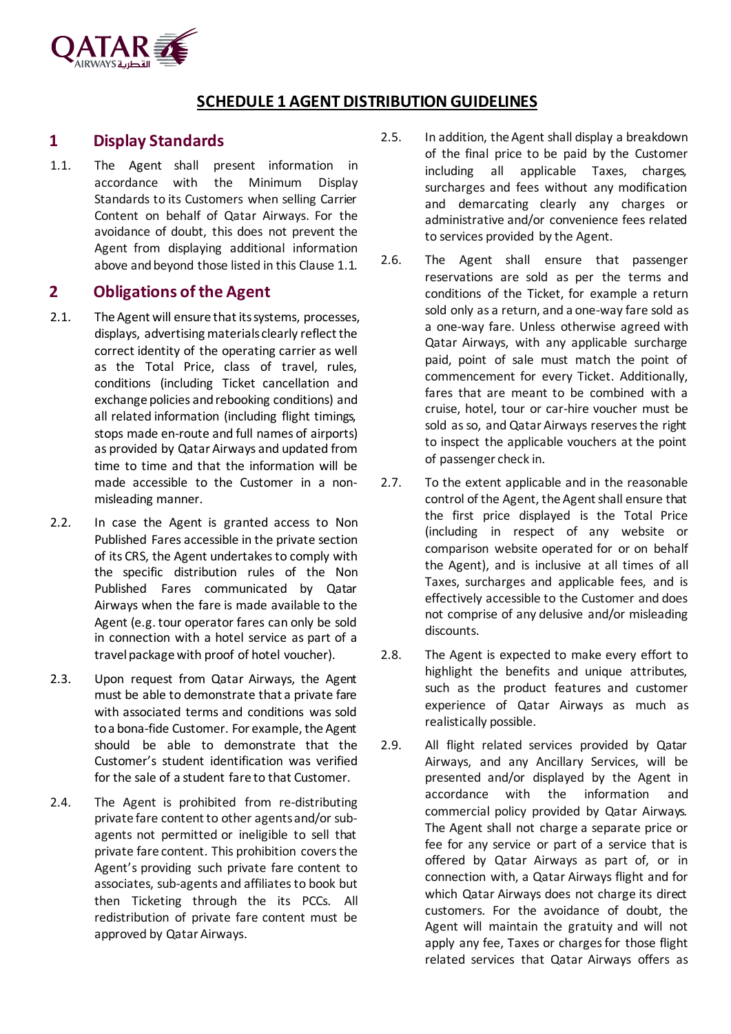

### **SCHEDULE 1 AGENT DISTRIBUTION GUIDELINES**

#### **1 Display Standards**

<span id="page-9-0"></span>1.1. The Agent shall present information in accordance with the Minimum Display Standards to its Customers when selling Carrier Content on behalf of Qatar Airways. For the avoidance of doubt, this does not prevent the Agent from displaying additional information above and beyond those listed in this Clause [1.1.](#page-9-0)

### **2 Obligations of the Agent**

- 2.1. The Agent will ensure that its systems, processes, displays, advertising materials clearly reflect the correct identity of the operating carrier as well as the Total Price, class of travel, rules, conditions (including Ticket cancellation and exchange policies and rebooking conditions) and all related information (including flight timings, stops made en-route and full names of airports) as provided by Qatar Airways and updated from time to time and that the information will be made accessible to the Customer in a nonmisleading manner.
- 2.2. In case the Agent is granted access to Non Published Fares accessible in the private section of its CRS, the Agent undertakes to comply with the specific distribution rules of the Non Published Fares communicated by Qatar Airways when the fare is made available to the Agent (e.g. tour operator fares can only be sold in connection with a hotel service as part of a travel package with proof of hotel voucher).
- 2.3. Upon request from Qatar Airways, the Agent must be able to demonstrate that a private fare with associated terms and conditions was sold to a bona-fide Customer. For example, the Agent should be able to demonstrate that the Customer's student identification was verified for the sale of a student fare to that Customer.
- 2.4. The Agent is prohibited from re-distributing private fare content to other agentsand/or subagents not permitted or ineligible to sell that private fare content. This prohibition covers the Agent's providing such private fare content to associates, sub-agents and affiliates to book but then Ticketing through the its PCCs. All redistribution of private fare content must be approved by Qatar Airways.
- 2.5. In addition, the Agent shall display a breakdown of the final price to be paid by the Customer including all applicable Taxes, charges, surcharges and fees without any modification and demarcating clearly any charges or administrative and/or convenience fees related to services provided by the Agent.
- 2.6. The Agent shall ensure that passenger reservations are sold as per the terms and conditions of the Ticket, for example a return sold only as a return, and a one-way fare sold as a one-way fare. Unless otherwise agreed with Qatar Airways, with any applicable surcharge paid, point of sale must match the point of commencement for every Ticket. Additionally, fares that are meant to be combined with a cruise, hotel, tour or car-hire voucher must be sold as so, and Qatar Airways reserves the right to inspect the applicable vouchers at the point of passenger check in.
- 2.7. To the extent applicable and in the reasonable control of the Agent, the Agent shall ensure that the first price displayed is the Total Price (including in respect of any website or comparison website operated for or on behalf the Agent), and is inclusive at all times of all Taxes, surcharges and applicable fees, and is effectively accessible to the Customer and does not comprise of any delusive and/or misleading discounts.
- 2.8. The Agent is expected to make every effort to highlight the benefits and unique attributes, such as the product features and customer experience of Qatar Airways as much as realistically possible.
- 2.9. All flight related services provided by Qatar Airways, and any Ancillary Services, will be presented and/or displayed by the Agent in accordance with the information and commercial policy provided by Qatar Airways. The Agent shall not charge a separate price or fee for any service or part of a service that is offered by Qatar Airways as part of, or in connection with, a Qatar Airways flight and for which Qatar Airways does not charge its direct customers. For the avoidance of doubt, the Agent will maintain the gratuity and will not apply any fee, Taxes or charges for those flight related services that Qatar Airways offers as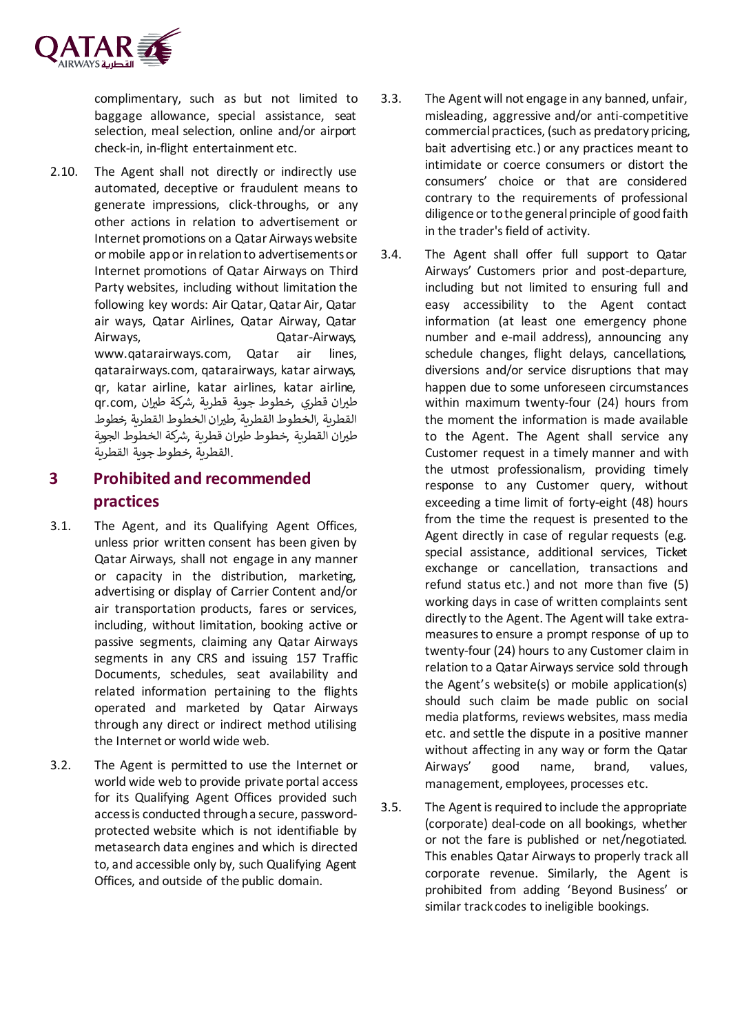

complimentary, such as but not limited to baggage allowance, special assistance, seat selection, meal selection, online and/or airport check-in, in-flight entertainment etc.

2.10. The Agent shall not directly or indirectly use automated, deceptive or fraudulent means to generate impressions, click-throughs, or any other actions in relation to advertisement or Internet promotions on a Qatar Airways website or mobile app or in relation to advertisements or Internet promotions of Qatar Airways on Third Party websites, including without limitation the following key words: Air Qatar, Qatar Air, Qatar air ways, Qatar Airlines, Qatar Airway, Qatar Airways, Qatar-Airways, www.qatarairways.com, Qatar air lines, qatarairways.com, qatarairways, katar airways, qr, katar airline, katar airlines, katar airline, طيران قطري ,خطوط جوبة قطرية ,شركة طيران ,qr.com القطرية ,الخطوط القطرية ,طريان الخطوط القطرية ,خطوط طيران القطرية ,خطوط طيران قطرية ,شركة الخطوط الجوية .القطرية ,خطوطجوية القطرية

### **3 Prohibited and recommended practices**

- 3.1. The Agent, and its Qualifying Agent Offices, unless prior written consent has been given by Qatar Airways, shall not engage in any manner or capacity in the distribution, marketing, advertising or display of Carrier Content and/or air transportation products, fares or services, including, without limitation, booking active or passive segments, claiming any Qatar Airways segments in any CRS and issuing 157 Traffic Documents, schedules, seat availability and related information pertaining to the flights operated and marketed by Qatar Airways through any direct or indirect method utilising the Internet or world wide web.
- 3.2. The Agent is permitted to use the Internet or world wide web to provide private portal access for its Qualifying Agent Offices provided such access is conducted through a secure, passwordprotected website which is not identifiable by metasearch data engines and which is directed to, and accessible only by, such Qualifying Agent Offices, and outside of the public domain.
- 3.3. The Agent will not engage in any banned, unfair, misleading, aggressive and/or anti-competitive commercial practices, (such as predatory pricing, bait advertising etc.) or any practices meant to intimidate or coerce consumers or distort the consumers' choice or that are considered contrary to the requirements of professional diligence or to the general principle of good faith in the trader's field of activity.
- 3.4. The Agent shall offer full support to Qatar Airways' Customers prior and post-departure, including but not limited to ensuring full and easy accessibility to the Agent contact information (at least one emergency phone number and e-mail address), announcing any schedule changes, flight delays, cancellations, diversions and/or service disruptions that may happen due to some unforeseen circumstances within maximum twenty-four (24) hours from the moment the information is made available to the Agent. The Agent shall service any Customer request in a timely manner and with the utmost professionalism, providing timely response to any Customer query, without exceeding a time limit of forty-eight (48) hours from the time the request is presented to the Agent directly in case of regular requests (e.g. special assistance, additional services, Ticket exchange or cancellation, transactions and refund status etc.) and not more than five (5) working days in case of written complaints sent directly to the Agent. The Agent will take extrameasures to ensure a prompt response of up to twenty-four (24) hours to any Customer claim in relation to a Qatar Airways service sold through the Agent's website(s) or mobile application(s) should such claim be made public on social media platforms, reviews websites, mass media etc. and settle the dispute in a positive manner without affecting in any way or form the Qatar Airways' good name, brand, values, management, employees, processes etc.
- 3.5. The Agent is required to include the appropriate (corporate) deal-code on all bookings, whether or not the fare is published or net/negotiated. This enables Qatar Airways to properly track all corporate revenue. Similarly, the Agent is prohibited from adding 'Beyond Business' or similar track codes to ineligible bookings.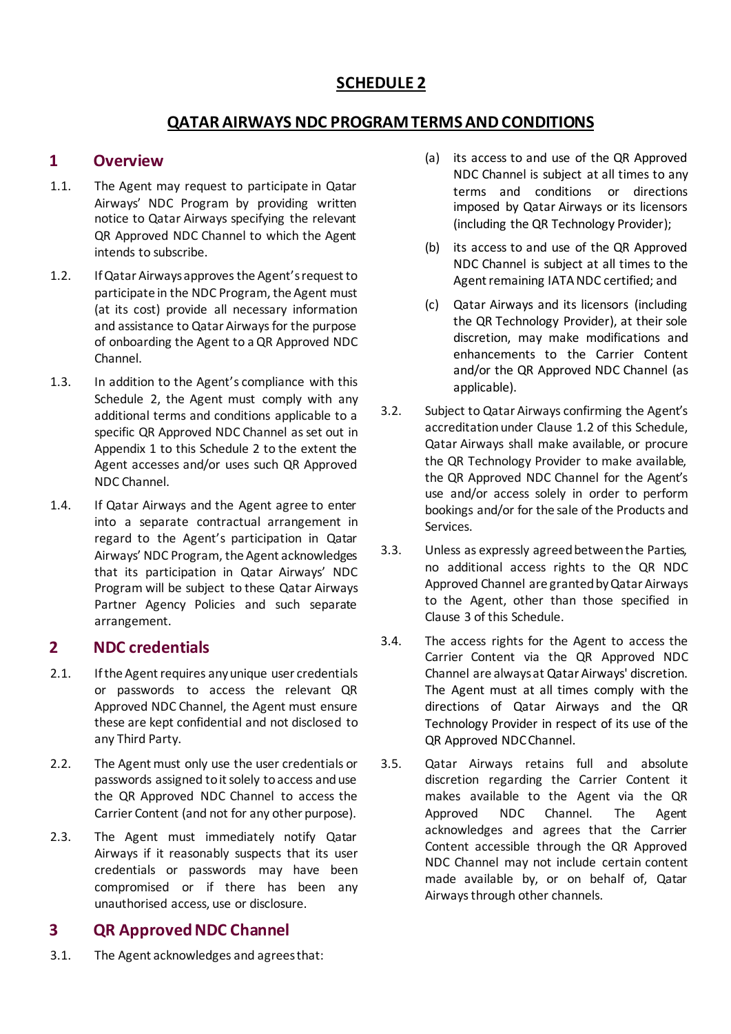### **SCHEDULE 2**

### **QATAR AIRWAYS NDC PROGRAM TERMS AND CONDITIONS**

#### **1 Overview**

- 1.1. The Agent may request to participate in Qatar Airways' NDC Program by providing written notice to Qatar Airways specifying the relevant QR Approved NDC Channel to which the Agent intends to subscribe.
- 1.2. If Qatar Airways approves the Agent's request to participate in the NDC Program, the Agent must (at its cost) provide all necessary information and assistance to Qatar Airways for the purpose of onboarding the Agent to a QR Approved NDC Channel.
- 1.3. In addition to the Agent's compliance with this Schedule 2, the Agent must comply with any additional terms and conditions applicable to a specific QR Approved NDC Channel as set out in Appendix 1 to this Schedule 2 to the extent the Agent accesses and/or uses such QR Approved NDC Channel.
- 1.4. If Qatar Airways and the Agent agree to enter into a separate contractual arrangement in regard to the Agent's participation in Qatar Airways' NDC Program, the Agent acknowledges that its participation in Qatar Airways' NDC Program will be subject to these Qatar Airways Partner Agency Policies and such separate arrangement.

#### **2 NDC credentials**

- 2.1. If the Agent requires any unique user credentials or passwords to access the relevant QR Approved NDC Channel, the Agent must ensure these are kept confidential and not disclosed to any Third Party.
- 2.2. The Agent must only use the user credentials or passwords assigned to it solely to access and use the QR Approved NDC Channel to access the Carrier Content (and not for any other purpose).
- 2.3. The Agent must immediately notify Qatar Airways if it reasonably suspects that its user credentials or passwords may have been compromised or if there has been any unauthorised access, use or disclosure.

### **3 QR ApprovedNDC Channel**

3.1. The Agent acknowledges and agrees that:

- (a) its access to and use of the QR Approved NDC Channel is subject at all times to any terms and conditions or directions imposed by Qatar Airways or its licensors (including the QR Technology Provider);
- (b) its access to and use of the QR Approved NDC Channel is subject at all times to the Agent remaining IATA NDC certified; and
- (c) Qatar Airways and its licensors (including the QR Technology Provider), at their sole discretion, may make modifications and enhancements to the Carrier Content and/or the QR Approved NDC Channel (as applicable).
- 3.2. Subject to Qatar Airways confirming the Agent's accreditation under Clause 1.2 of this Schedule, Qatar Airways shall make available, or procure the QR Technology Provider to make available, the QR Approved NDC Channel for the Agent's use and/or access solely in order to perform bookings and/or for the sale of the Products and Services.
- 3.3. Unless as expressly agreed between the Parties, no additional access rights to the QR NDC Approved Channel are granted by Qatar Airways to the Agent, other than those specified in Clause 3 of this Schedule.
- 3.4. The access rights for the Agent to access the Carrier Content via the QR Approved NDC Channel are always at Qatar Airways' discretion. The Agent must at all times comply with the directions of Qatar Airways and the QR Technology Provider in respect of its use of the QR Approved NDC Channel.
- 3.5. Qatar Airways retains full and absolute discretion regarding the Carrier Content it makes available to the Agent via the QR Approved NDC Channel. The Agent acknowledges and agrees that the Carrier Content accessible through the QR Approved NDC Channel may not include certain content made available by, or on behalf of, Qatar Airways through other channels.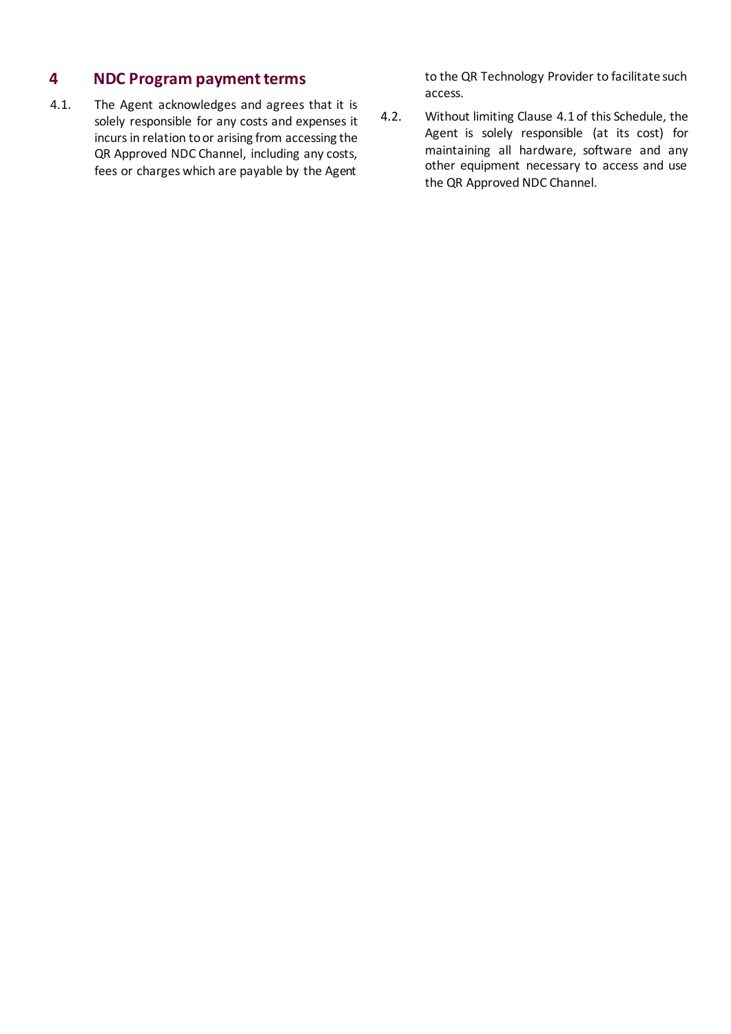### **4 NDC Program payment terms**

4.1. The Agent acknowledges and agrees that it is solely responsible for any costs and expenses it incurs in relation to or arising from accessing the QR Approved NDC Channel, including any costs, fees or charges which are payable by the Agent

to the QR Technology Provider to facilitate such access.

4.2. Without limiting Clause 4.1 of this Schedule, the Agent is solely responsible (at its cost) for maintaining all hardware, software and any other equipment necessary to access and use the QR Approved NDC Channel.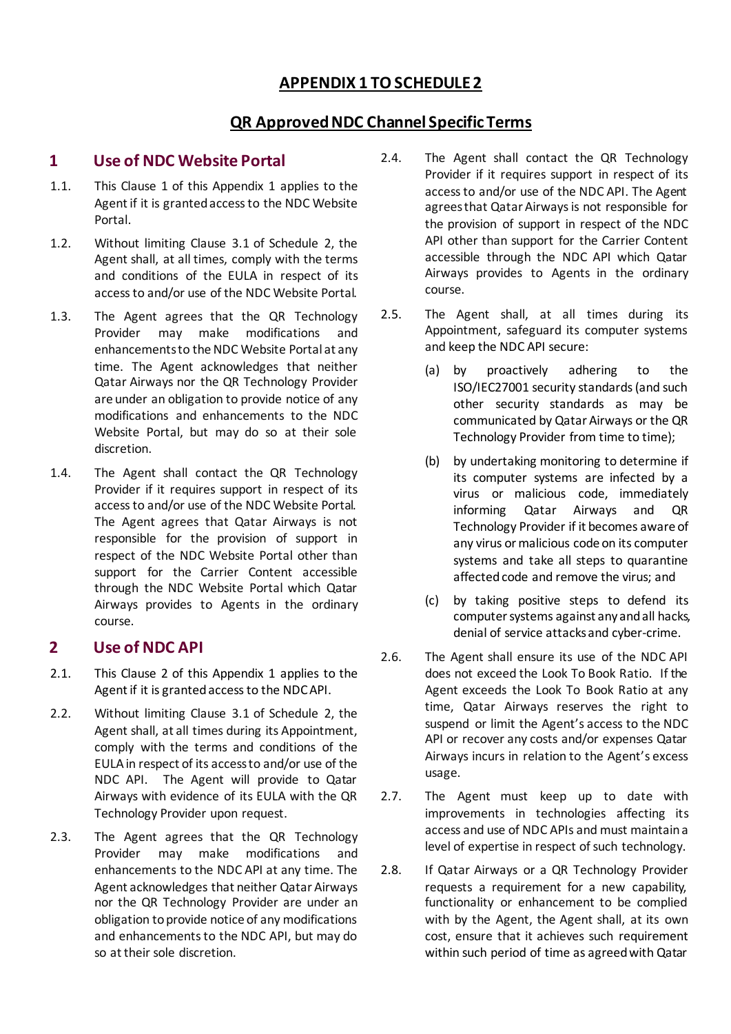### **APPENDIX 1 TO SCHEDULE 2**

### **QR Approved NDC Channel Specific Terms**

#### **1 Use of NDC Website Portal**

- 1.1. This Clause 1 of this Appendix 1 applies to the Agent if it is granted access to the NDC Website Portal.
- 1.2. Without limiting Clause 3.1 of Schedule 2, the Agent shall, at all times, comply with the terms and conditions of the EULA in respect of its access to and/or use of the NDC Website Portal.
- 1.3. The Agent agrees that the QR Technology Provider may make modifications and enhancements to the NDC Website Portal at any time. The Agent acknowledges that neither Qatar Airways nor the QR Technology Provider are under an obligation to provide notice of any modifications and enhancements to the NDC Website Portal, but may do so at their sole discretion.
- 1.4. The Agent shall contact the QR Technology Provider if it requires support in respect of its access to and/or use of the NDC Website Portal. The Agent agrees that Qatar Airways is not responsible for the provision of support in respect of the NDC Website Portal other than support for the Carrier Content accessible through the NDC Website Portal which Qatar Airways provides to Agents in the ordinary course.

### **2 Use of NDC API**

- 2.1. This Clause 2 of this Appendix 1 applies to the Agent if it is granted access to the NDC API.
- 2.2. Without limiting Clause 3.1 of Schedule 2, the Agent shall, at all times during its Appointment, comply with the terms and conditions of the EULA in respect of its access to and/or use of the NDC API. The Agent will provide to Qatar Airways with evidence of its EULA with the QR Technology Provider upon request.
- 2.3. The Agent agrees that the QR Technology Provider may make modifications and enhancements to the NDC API at any time. The Agent acknowledges that neither Qatar Airways nor the QR Technology Provider are under an obligation to provide notice of any modifications and enhancements to the NDC API, but may do so at their sole discretion.
- 2.4. The Agent shall contact the QR Technology Provider if it requires support in respect of its access to and/or use of the NDC API. The Agent agrees that Qatar Airways is not responsible for the provision of support in respect of the NDC API other than support for the Carrier Content accessible through the NDC API which Qatar Airways provides to Agents in the ordinary course.
- 2.5. The Agent shall, at all times during its Appointment, safeguard its computer systems and keep the NDC API secure:
	- (a) by proactively adhering to the ISO/IEC27001 security standards (and such other security standards as may be communicated by Qatar Airways or the QR Technology Provider from time to time);
	- (b) by undertaking monitoring to determine if its computer systems are infected by a virus or malicious code, immediately informing Qatar Airways and QR Technology Provider if it becomes aware of any virus or malicious code on its computer systems and take all steps to quarantine affected code and remove the virus; and
	- (c) by taking positive steps to defend its computer systems against any and all hacks, denial of service attacks and cyber-crime.
- 2.6. The Agent shall ensure its use of the NDC API does not exceed the Look To Book Ratio. If the Agent exceeds the Look To Book Ratio at any time, Qatar Airways reserves the right to suspend or limit the Agent's access to the NDC API or recover any costs and/or expenses Qatar Airways incurs in relation to the Agent's excess usage.
- 2.7. The Agent must keep up to date with improvements in technologies affecting its access and use of NDC APIs and must maintain a level of expertise in respect of such technology.
- 2.8. If Qatar Airways or a QR Technology Provider requests a requirement for a new capability, functionality or enhancement to be complied with by the Agent, the Agent shall, at its own cost, ensure that it achieves such requirement within such period of time as agreed with Qatar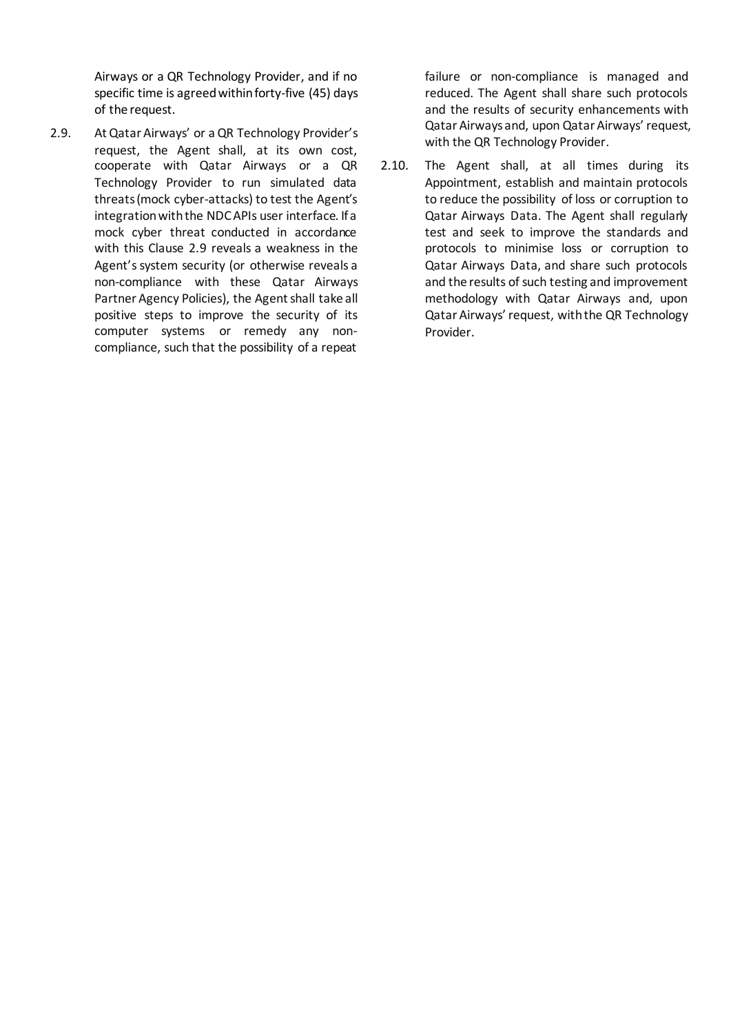Airways or a QR Technology Provider, and if no specific time is agreed within forty-five (45) days of the request.

2.9. At Qatar Airways' or aQR Technology Provider's request, the Agent shall, at its own cost, cooperate with Qatar Airways or a QR Technology Provider to run simulated data threats (mock cyber-attacks) to test the Agent's integration with the NDC APIs user interface. If a mock cyber threat conducted in accordance with this Clause 2.9 reveals a weakness in the Agent's system security (or otherwise reveals a non-compliance with these Qatar Airways Partner Agency Policies), the Agent shall take all positive steps to improve the security of its computer systems or remedy any noncompliance, such that the possibility of a repeat

failure or non-compliance is managed and reduced. The Agent shall share such protocols and the results of security enhancements with Qatar Airways and, upon Qatar Airways' request, with the QR Technology Provider.

2.10. The Agent shall, at all times during its Appointment, establish and maintain protocols to reduce the possibility of loss or corruption to Qatar Airways Data. The Agent shall regularly test and seek to improve the standards and protocols to minimise loss or corruption to Qatar Airways Data, and share such protocols and the results of such testing and improvement methodology with Qatar Airways and, upon Qatar Airways' request, with the QR Technology Provider.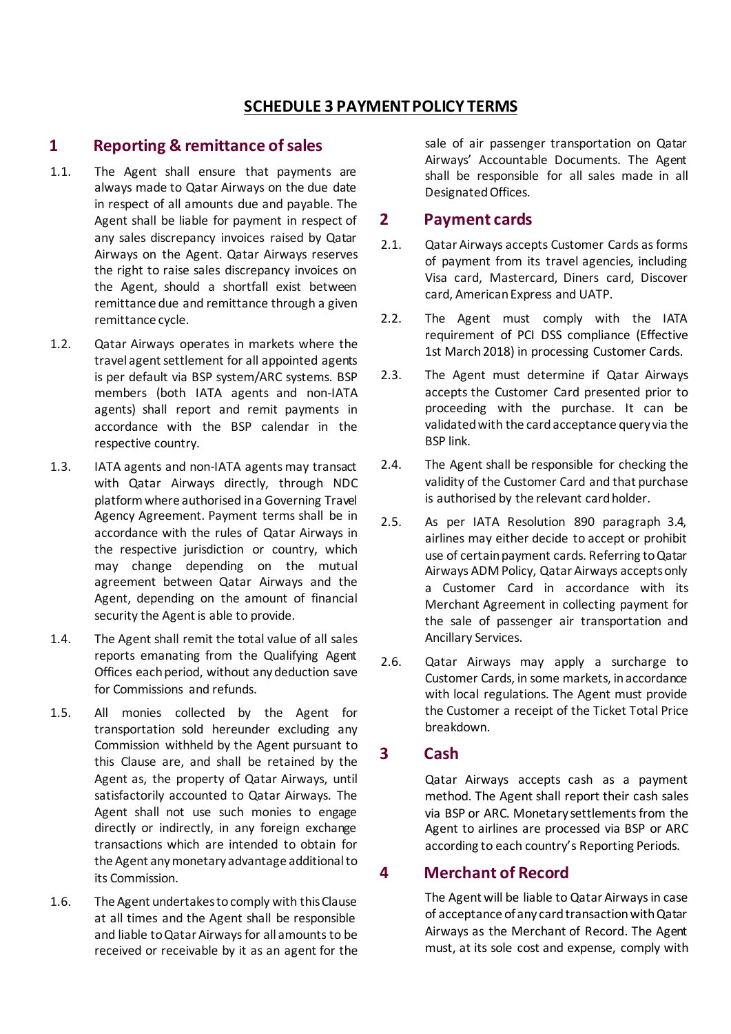### **SCHEDULE 3 PAYMENT POLICY TERMS**

#### **1 Reporting & remittance of sales**

- 1.1. The Agent shall ensure that payments are always made to Qatar Airways on the due date in respect of all amounts due and payable. The Agent shall be liable for payment in respect of any sales discrepancy invoices raised by Qatar Airways on the Agent. Qatar Airways reserves the right to raise sales discrepancy invoices on the Agent, should a shortfall exist between remittance due and remittance through a given remittance cycle.
- 1.2. Qatar Airways operates in markets where the travel agent settlement for all appointed agents is per default via BSP system/ARC systems. BSP members (both IATA agents and non-IATA agents) shall report and remit payments in accordance with the BSP calendar in the respective country.
- 1.3. IATA agents and non-IATA agents may transact with Qatar Airways directly, through NDC platform where authorised in a Governing Travel Agency Agreement. Payment terms shall be in accordance with the rules of Qatar Airways in the respective jurisdiction or country, which may change depending on the mutual agreement between Qatar Airways and the Agent, depending on the amount of financial security the Agent is able to provide.
- 1.4. The Agent shall remit the total value of all sales reports emanating from the Qualifying Agent Offices each period, without any deduction save for Commissions and refunds.
- 1.5. All monies collected by the Agent for transportation sold hereunder excluding any Commission withheld by the Agent pursuant to this Clause are, and shall be retained by the Agent as, the property of Qatar Airways, until satisfactorily accounted to Qatar Airways. The Agent shall not use such monies to engage directly or indirectly, in any foreign exchange transactions which are intended to obtain for the Agent any monetary advantage additional to its Commission.
- 1.6. The Agent undertakesto comply with this Clause at all times and the Agent shall be responsible and liable to Qatar Airways for all amounts to be received or receivable by it as an agent for the

sale of air passenger transportation on Qatar Airways' Accountable Documents. The Agent shall be responsible for all sales made in all Designated Offices.

#### **2 Payment cards**

- 2.1. Qatar Airways accepts Customer Cards as forms of payment from its travel agencies, including Visa card, Mastercard, Diners card, Discover card, American Express and UATP.
- 2.2. The Agent must comply with the IATA requirement of PCI DSS compliance (Effective 1st March 2018) in processing Customer Cards.
- 2.3. The Agent must determine if Qatar Airways accepts the Customer Card presented prior to proceeding with the purchase. It can be validated with the card acceptance query via the BSP link.
- 2.4. The Agent shall be responsible for checking the validity of the Customer Card and that purchase is authorised by the relevant card holder.
- 2.5. As per IATA Resolution 890 paragraph 3.4, airlines may either decide to accept or prohibit use of certain payment cards. Referring to Qatar Airways ADM Policy, Qatar Airways accepts only a Customer Card in accordance with its Merchant Agreement in collecting payment for the sale of passenger air transportation and Ancillary Services.
- 2.6. Qatar Airways may apply a surcharge to Customer Cards, in some markets, in accordance with local regulations. The Agent must provide the Customer a receipt of the Ticket Total Price breakdown.

#### **3 Cash**

Qatar Airways accepts cash as a payment method. The Agent shall report their cash sales via BSP or ARC. Monetary settlements from the Agent to airlines are processed via BSP or ARC according to each country's Reporting Periods.

### **4 Merchant of Record**

The Agent will be liable to Qatar Airways in case of acceptance of any card transaction with Qatar Airways as the Merchant of Record. The Agent must, at its sole cost and expense, comply with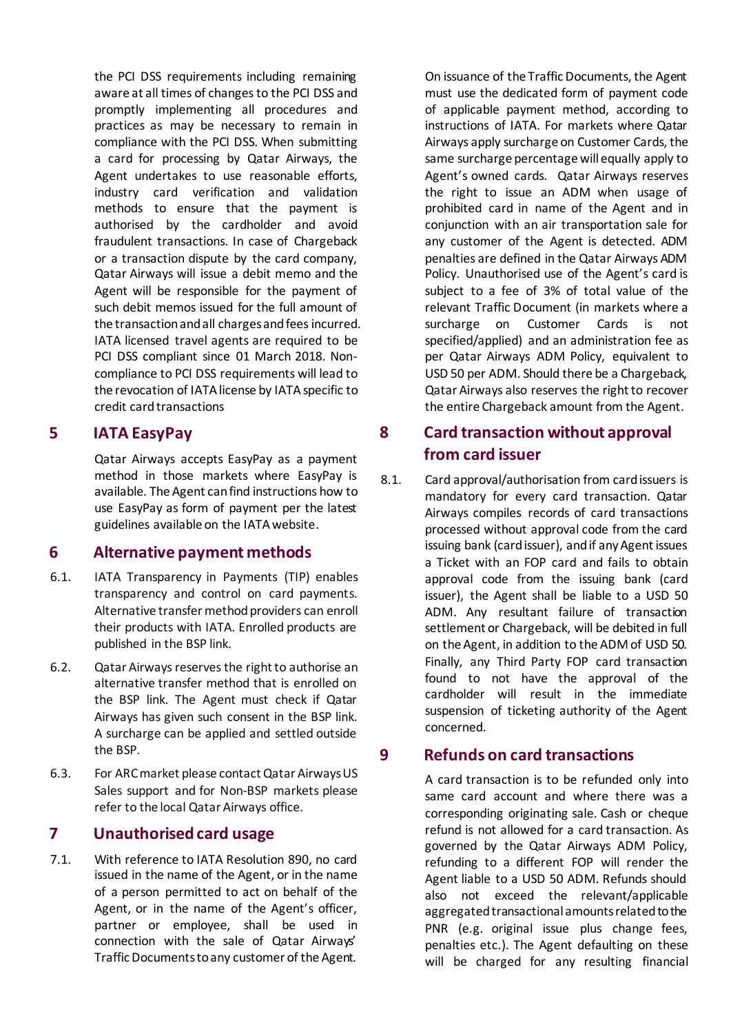the PCI DSS requirements including remaining aware at all times of changes to the PCI DSS and promptly implementing all procedures and practices as may be necessary to remain in compliance with the PCI DSS. When submitting a card for processing by Qatar Airways, the Agent undertakes to use reasonable efforts, industry card verification and validation methods to ensure that the payment is authorised by the cardholder and avoid fraudulent transactions. In case of Chargeback or a transaction dispute by the card company, Qatar Airways will issue a debit memo and the Agent will be responsible for the payment of such debit memos issued for the full amount of the transaction and all charges and fees incurred. IATA licensed travel agents are required to be PCI DSS compliant since 01 March 2018. Noncompliance to PCI DSS requirements will lead to the revocation of IATA license by IATA specific to credit card transactions

### **5 IATA EasyPay**

Qatar Airways accepts EasyPay as a payment method in those markets where EasyPay is available. The Agent can find instructions how to use EasyPay as form of payment per the latest guidelines available on the IATA website.

#### **6 Alternative payment methods**

- 6.1. IATA Transparency in Payments (TIP) enables transparency and control on card payments. Alternative transfer method providers can enroll their products with IATA. Enrolled products are published in the BSP link.
- 6.2. Qatar Airways reserves the right to authorise an alternative transfer method that is enrolled on the BSP link. The Agent must check if Qatar Airways has given such consent in the BSP link. A surcharge can be applied and settled outside the BSP.
- 6.3. For ARC market please contact Qatar Airways US Sales support and for Non-BSP markets please refer to the local Qatar Airways office.

### **7 Unauthorised card usage**

7.1. With reference to IATA Resolution 890, no card issued in the name of the Agent, or in the name of a person permitted to act on behalf of the Agent, or in the name of the Agent's officer, partner or employee, shall be used in connection with the sale of Qatar Airways' Traffic Documents to any customer of the Agent.

On issuance of the Traffic Documents, the Agent must use the dedicated form of payment code of applicable payment method, according to instructions of IATA. For markets where Qatar Airways apply surcharge on Customer Cards, the same surcharge percentage will equally apply to Agent's owned cards. Qatar Airways reserves the right to issue an ADM when usage of prohibited card in name of the Agent and in conjunction with an air transportation sale for any customer of the Agent is detected. ADM penalties are defined in the Qatar Airways ADM Policy. Unauthorised use of the Agent's card is subject to a fee of 3% of total value of the relevant Traffic Document (in markets where a surcharge on Customer Cards is not specified/applied) and an administration fee as per Qatar Airways ADM Policy, equivalent to USD 50 per ADM. Should there be a Chargeback, Qatar Airways also reserves the right to recover the entire Chargeback amount from the Agent.

### **8 Card transaction without approval from card issuer**

8.1. Card approval/authorisation from card issuers is mandatory for every card transaction. Qatar Airways compiles records of card transactions processed without approval code from the card issuing bank (card issuer), and if any Agent issues a Ticket with an FOP card and fails to obtain approval code from the issuing bank (card issuer), the Agent shall be liable to a USD 50 ADM. Any resultant failure of transaction settlement or Chargeback, will be debited in full on the Agent, in addition to the ADM of USD 50. Finally, any Third Party FOP card transaction found to not have the approval of the cardholder will result in the immediate suspension of ticketing authority of the Agent concerned.

#### **9 Refunds on card transactions**

A card transaction is to be refunded only into same card account and where there was a corresponding originating sale. Cash or cheque refund is not allowed for a card transaction. As governed by the Qatar Airways ADM Policy, refunding to a different FOP will render the Agent liable to a USD 50 ADM. Refunds should also not exceed the relevant/applicable aggregated transactional amounts related to the PNR (e.g. original issue plus change fees, penalties etc.). The Agent defaulting on these will be charged for any resulting financial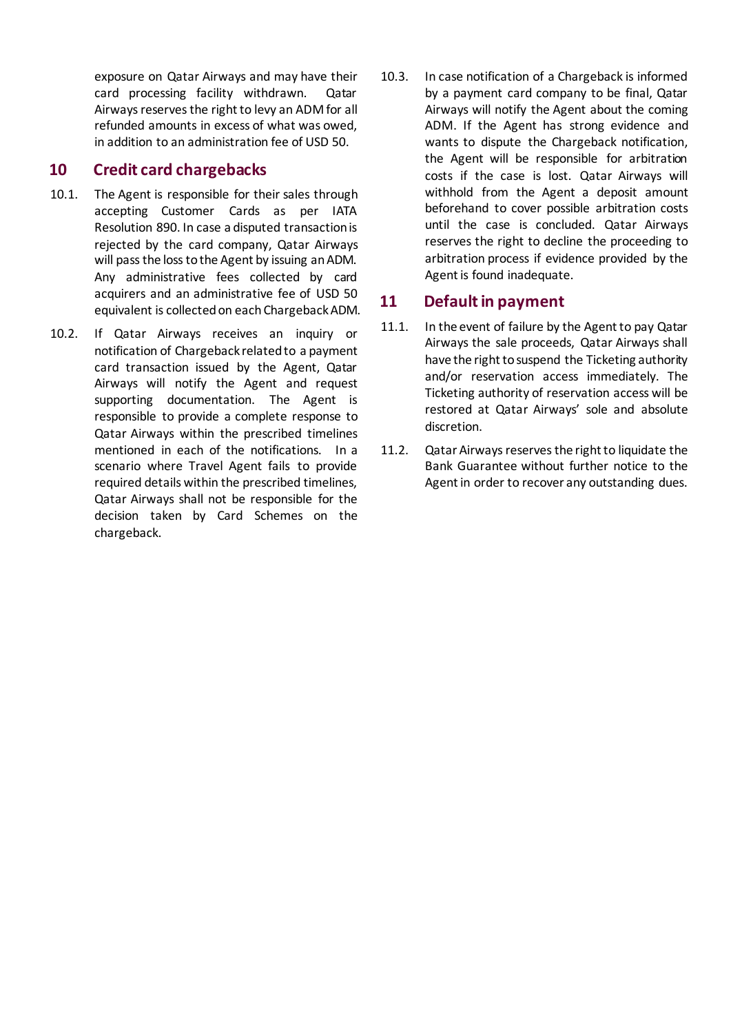exposure on Qatar Airways and may have their card processing facility withdrawn. Qatar Airways reserves the right to levy an ADM for all refunded amounts in excess of what was owed, in addition to an administration fee of USD 50.

### **10 Credit card chargebacks**

- 10.1. The Agent is responsible for their sales through accepting Customer Cards as per IATA Resolution 890. In case a disputed transaction is rejected by the card company, Qatar Airways will pass the loss to the Agent by issuing an ADM. Any administrative fees collected by card acquirers and an administrative fee of USD 50 equivalent is collected on each Chargeback ADM.
- 10.2. If Qatar Airways receives an inquiry or notification of Chargeback related to a payment card transaction issued by the Agent, Qatar Airways will notify the Agent and request supporting documentation. The Agent is responsible to provide a complete response to Qatar Airways within the prescribed timelines mentioned in each of the notifications. In a scenario where Travel Agent fails to provide required details within the prescribed timelines, Qatar Airways shall not be responsible for the decision taken by Card Schemes on the chargeback.
- 10.3. In case notification of a Chargeback is informed by a payment card company to be final, Qatar Airways will notify the Agent about the coming ADM. If the Agent has strong evidence and wants to dispute the Chargeback notification, the Agent will be responsible for arbitration costs if the case is lost. Qatar Airways will withhold from the Agent a deposit amount beforehand to cover possible arbitration costs until the case is concluded. Qatar Airways reserves the right to decline the proceeding to arbitration process if evidence provided by the Agent is found inadequate.

### **11 Default in payment**

- 11.1. In the event of failure by the Agent to pay Qatar Airways the sale proceeds, Qatar Airways shall have the right to suspend the Ticketing authority and/or reservation access immediately. The Ticketing authority of reservation access will be restored at Qatar Airways' sole and absolute discretion.
- 11.2. Qatar Airways reserves the right to liquidate the Bank Guarantee without further notice to the Agent in order to recover any outstanding dues.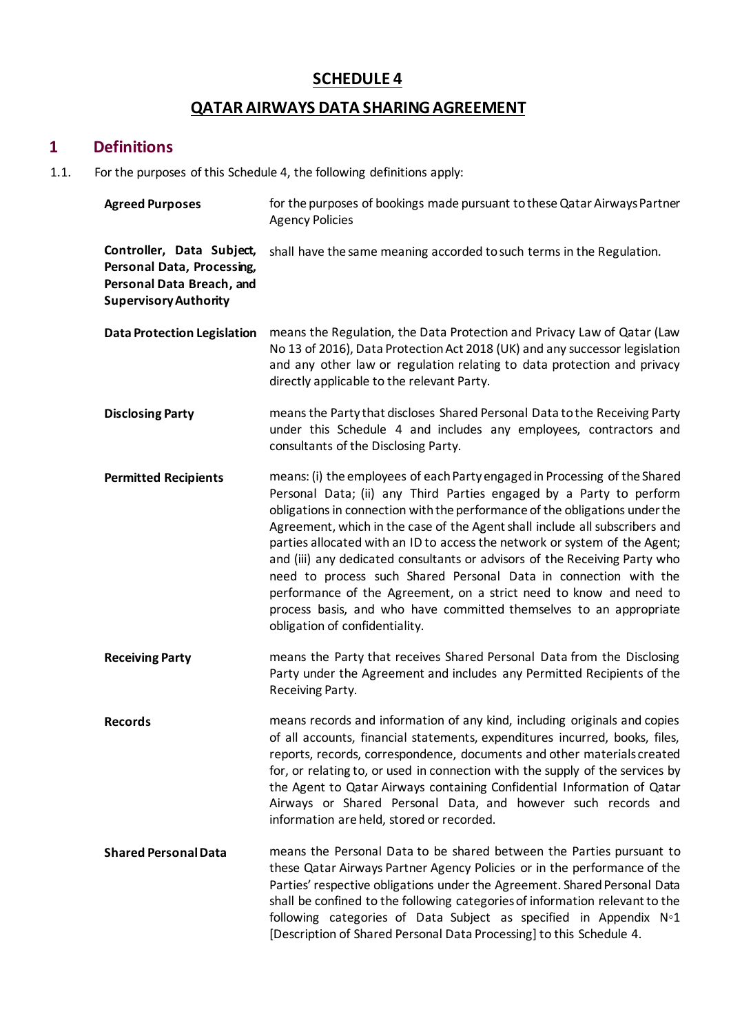### **SCHEDULE 4**

# **QATAR AIRWAYS DATA SHARING AGREEMENT**

### **1 Definitions**

1.1. For the purposes of this Schedule 4, the following definitions apply:

| <b>Agreed Purposes</b>                                                                                               | for the purposes of bookings made pursuant to these Qatar Airways Partner<br><b>Agency Policies</b>                                                                                                                                                                                                                                                                                                                                                                                                                                                                                                                                                                                                                           |
|----------------------------------------------------------------------------------------------------------------------|-------------------------------------------------------------------------------------------------------------------------------------------------------------------------------------------------------------------------------------------------------------------------------------------------------------------------------------------------------------------------------------------------------------------------------------------------------------------------------------------------------------------------------------------------------------------------------------------------------------------------------------------------------------------------------------------------------------------------------|
| Controller, Data Subject,<br>Personal Data, Processing,<br>Personal Data Breach, and<br><b>Supervisory Authority</b> | shall have the same meaning accorded to such terms in the Regulation.                                                                                                                                                                                                                                                                                                                                                                                                                                                                                                                                                                                                                                                         |
| <b>Data Protection Legislation</b>                                                                                   | means the Regulation, the Data Protection and Privacy Law of Qatar (Law<br>No 13 of 2016), Data Protection Act 2018 (UK) and any successor legislation<br>and any other law or regulation relating to data protection and privacy<br>directly applicable to the relevant Party.                                                                                                                                                                                                                                                                                                                                                                                                                                               |
| <b>Disclosing Party</b>                                                                                              | means the Party that discloses Shared Personal Data to the Receiving Party<br>under this Schedule 4 and includes any employees, contractors and<br>consultants of the Disclosing Party.                                                                                                                                                                                                                                                                                                                                                                                                                                                                                                                                       |
| <b>Permitted Recipients</b>                                                                                          | means: (i) the employees of each Party engaged in Processing of the Shared<br>Personal Data; (ii) any Third Parties engaged by a Party to perform<br>obligations in connection with the performance of the obligations under the<br>Agreement, which in the case of the Agent shall include all subscribers and<br>parties allocated with an ID to access the network or system of the Agent;<br>and (iii) any dedicated consultants or advisors of the Receiving Party who<br>need to process such Shared Personal Data in connection with the<br>performance of the Agreement, on a strict need to know and need to<br>process basis, and who have committed themselves to an appropriate<br>obligation of confidentiality. |
| <b>Receiving Party</b>                                                                                               | means the Party that receives Shared Personal Data from the Disclosing<br>Party under the Agreement and includes any Permitted Recipients of the<br>Receiving Party.                                                                                                                                                                                                                                                                                                                                                                                                                                                                                                                                                          |
| <b>Records</b>                                                                                                       | means records and information of any kind, including originals and copies<br>of all accounts, financial statements, expenditures incurred, books, files,<br>reports, records, correspondence, documents and other materials created<br>for, or relating to, or used in connection with the supply of the services by<br>the Agent to Qatar Airways containing Confidential Information of Qatar<br>Airways or Shared Personal Data, and however such records and<br>information are held, stored or recorded.                                                                                                                                                                                                                 |
| <b>Shared Personal Data</b>                                                                                          | means the Personal Data to be shared between the Parties pursuant to<br>these Qatar Airways Partner Agency Policies or in the performance of the<br>Parties' respective obligations under the Agreement. Shared Personal Data<br>shall be confined to the following categories of information relevant to the<br>following categories of Data Subject as specified in Appendix N°1<br>[Description of Shared Personal Data Processing] to this Schedule 4.                                                                                                                                                                                                                                                                    |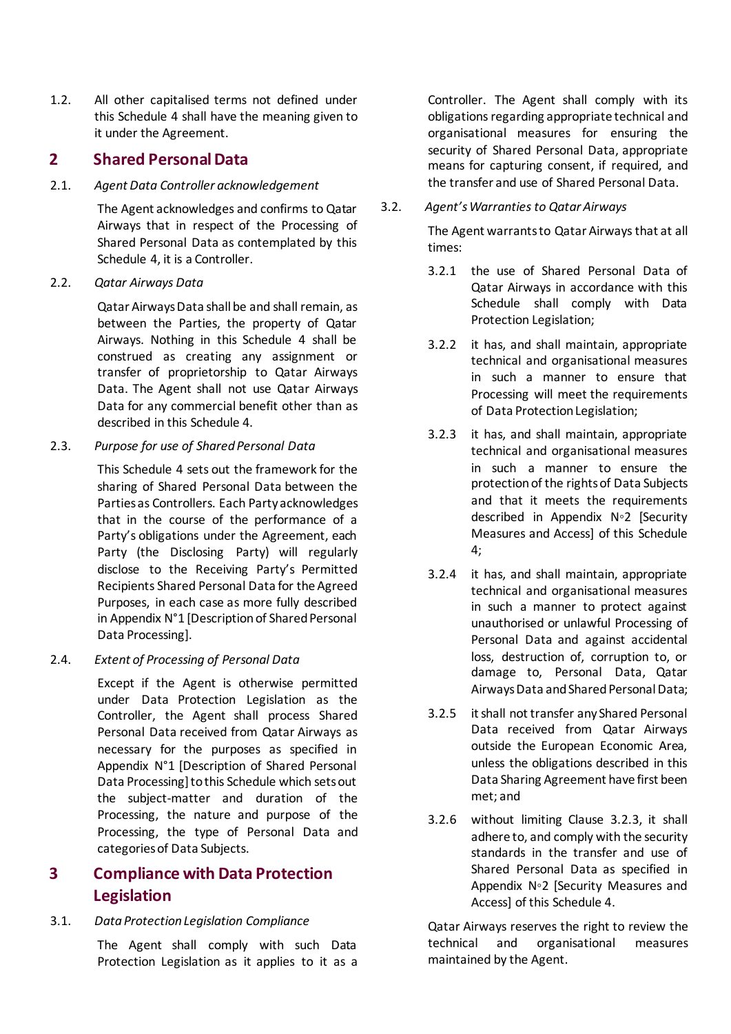1.2. All other capitalised terms not defined under this Schedule 4 shall have the meaning given to it under the Agreement.

### **2 Shared Personal Data**

#### 2.1. *Agent Data Controller acknowledgement*

The Agent acknowledges and confirms to Qatar Airways that in respect of the Processing of Shared Personal Data as contemplated by this Schedule 4, it is a Controller.

#### 2.2. *Qatar Airways Data*

Qatar Airways Data shall be and shall remain, as between the Parties, the property of Qatar Airways. Nothing in this Schedule 4 shall be construed as creating any assignment or transfer of proprietorship to Qatar Airways Data. The Agent shall not use Qatar Airways Data for any commercial benefit other than as described in this Schedule 4.

#### 2.3. *Purpose for use of Shared Personal Data*

This Schedule 4 sets out the framework for the sharing of Shared Personal Data between the Parties as Controllers. Each Party acknowledges that in the course of the performance of a Party's obligations under the Agreement, each Party (the Disclosing Party) will regularly disclose to the Receiving Party's Permitted Recipients Shared Personal Data for the Agreed Purposes, in each case as more fully described in Appendix N°1 [Description of Shared Personal Data Processing].

#### 2.4. *Extent of Processing of Personal Data*

Except if the Agent is otherwise permitted under Data Protection Legislation as the Controller, the Agent shall process Shared Personal Data received from Qatar Airways as necessary for the purposes as specified in Appendix N°1 [Description of Shared Personal Data Processing] to this Schedule which sets out the subject-matter and duration of the Processing, the nature and purpose of the Processing, the type of Personal Data and categories of Data Subjects.

### **3 Compliance with Data Protection Legislation**

#### 3.1. *Data Protection Legislation Compliance*

The Agent shall comply with such Data Protection Legislation as it applies to it as a Controller. The Agent shall comply with its obligations regarding appropriate technical and organisational measures for ensuring the security of Shared Personal Data, appropriate means for capturing consent, if required, and the transfer and use of Shared Personal Data.

#### 3.2. *Agent's Warrantiesto Qatar Airways*

The Agent warrants to Qatar Airways that at all times:

- 3.2.1 the use of Shared Personal Data of Qatar Airways in accordance with this Schedule shall comply with Data Protection Legislation;
- 3.2.2 it has, and shall maintain, appropriate technical and organisational measures in such a manner to ensure that Processing will meet the requirements of Data Protection Legislation;
- 3.2.3 it has, and shall maintain, appropriate technical and organisational measures in such a manner to ensure the protection of the rights of Data Subjects and that it meets the requirements described in Appendix N◦2 [Security Measures and Access] of this Schedule 4;
- 3.2.4 it has, and shall maintain, appropriate technical and organisational measures in such a manner to protect against unauthorised or unlawful Processing of Personal Data and against accidental loss, destruction of, corruption to, or damage to, Personal Data, Qatar Airways Data and Shared Personal Data;
- 3.2.5 it shall not transfer any Shared Personal Data received from Qatar Airways outside the European Economic Area, unless the obligations described in this Data Sharing Agreement have first been met; and
- 3.2.6 without limiting Clause 3.2.3, it shall adhere to, and comply with the security standards in the transfer and use of Shared Personal Data as specified in Appendix N◦2 [Security Measures and Access] of this Schedule 4.

Qatar Airways reserves the right to review the technical and organisational measures maintained by the Agent.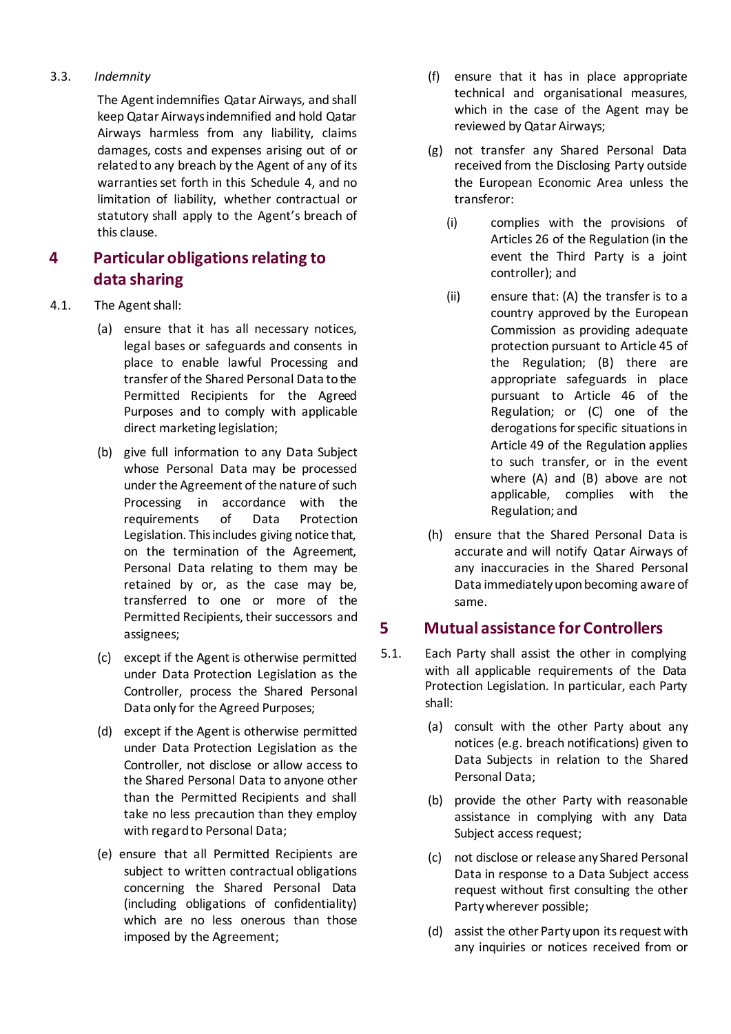#### 3.3. *Indemnity*

The Agent indemnifies Qatar Airways, and shall keep Qatar Airways indemnified and hold Qatar Airways harmless from any liability, claims damages, costs and expenses arising out of or related to any breach by the Agent of any of its warranties set forth in this Schedule 4, and no limitation of liability, whether contractual or statutory shall apply to the Agent's breach of this clause.

### **4 Particular obligations relating to data sharing**

- 4.1. The Agent shall:
	- (a) ensure that it has all necessary notices, legal bases or safeguards and consents in place to enable lawful Processing and transfer of the Shared Personal Data to the Permitted Recipients for the Agreed Purposes and to comply with applicable direct marketing legislation;
	- (b) give full information to any Data Subject whose Personal Data may be processed under the Agreement of the nature of such Processing in accordance with the requirements of Data Protection Legislation. This includes giving notice that, on the termination of the Agreement, Personal Data relating to them may be retained by or, as the case may be, transferred to one or more of the Permitted Recipients, their successors and assignees;
	- (c) except if the Agent is otherwise permitted under Data Protection Legislation as the Controller, process the Shared Personal Data only for the Agreed Purposes;
	- (d) except if the Agent is otherwise permitted under Data Protection Legislation as the Controller, not disclose or allow access to the Shared Personal Data to anyone other than the Permitted Recipients and shall take no less precaution than they employ with regard to Personal Data;
	- (e) ensure that all Permitted Recipients are subject to written contractual obligations concerning the Shared Personal Data (including obligations of confidentiality) which are no less onerous than those imposed by the Agreement;
- (f) ensure that it has in place appropriate technical and organisational measures, which in the case of the Agent may be reviewed by Qatar Airways;
- (g) not transfer any Shared Personal Data received from the Disclosing Party outside the European Economic Area unless the transferor:
	- (i) complies with the provisions of Articles 26 of the Regulation (in the event the Third Party is a joint controller); and
	- (ii) ensure that: (A) the transfer is to a country approved by the European Commission as providing adequate protection pursuant to Article 45 of the Regulation; (B) there are appropriate safeguards in place pursuant to Article 46 of the Regulation; or (C) one of the derogations for specific situations in Article 49 of the Regulation applies to such transfer, or in the event where (A) and (B) above are not applicable, complies with the Regulation; and
- (h) ensure that the Shared Personal Data is accurate and will notify Qatar Airways of any inaccuracies in the Shared Personal Data immediately upon becoming aware of same.

### **5 Mutual assistance for Controllers**

- 5.1. Each Party shall assist the other in complying with all applicable requirements of the Data Protection Legislation. In particular, each Party shall:
	- (a) consult with the other Party about any notices (e.g. breach notifications) given to Data Subjects in relation to the Shared Personal Data;
	- (b) provide the other Party with reasonable assistance in complying with any Data Subject access request;
	- (c) not disclose or release any Shared Personal Data in response to a Data Subject access request without first consulting the other Party wherever possible;
	- (d) assist the other Party upon its request with any inquiries or notices received from or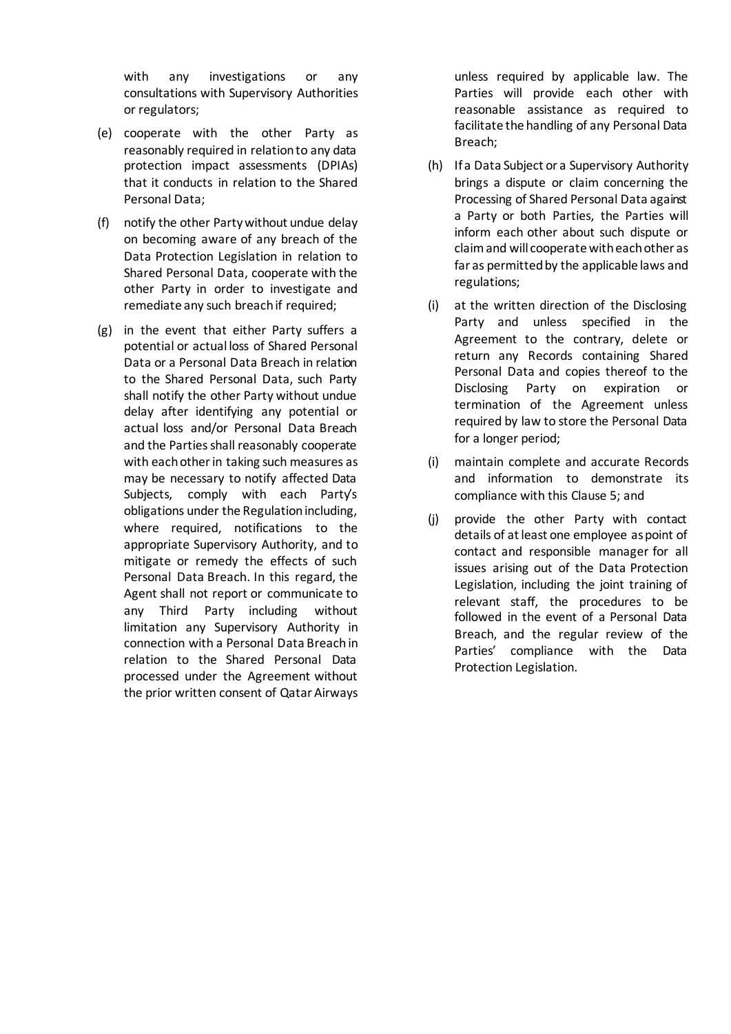with any investigations or any consultations with Supervisory Authorities or regulators;

- (e) cooperate with the other Party as reasonably required in relation to any data protection impact assessments (DPIAs) that it conducts in relation to the Shared Personal Data;
- (f) notify the other Party without undue delay on becoming aware of any breach of the Data Protection Legislation in relation to Shared Personal Data, cooperate with the other Party in order to investigate and remediate any such breach if required;
- (g) in the event that either Party suffers a potential or actual loss of Shared Personal Data or a Personal Data Breach in relation to the Shared Personal Data, such Party shall notify the other Party without undue delay after identifying any potential or actual loss and/or Personal Data Breach and the Parties shall reasonably cooperate with each other in taking such measures as may be necessary to notify affected Data Subjects, comply with each Party's obligations under the Regulation including, where required, notifications to the appropriate Supervisory Authority, and to mitigate or remedy the effects of such Personal Data Breach. In this regard, the Agent shall not report or communicate to any Third Party including without limitation any Supervisory Authority in connection with a Personal Data Breach in relation to the Shared Personal Data processed under the Agreement without the prior written consent of Qatar Airways

unless required by applicable law. The Parties will provide each other with reasonable assistance as required to facilitate the handling of any Personal Data Breach;

- (h) If a Data Subject or a Supervisory Authority brings a dispute or claim concerning the Processing of Shared Personal Data against a Party or both Parties, the Parties will inform each other about such dispute or claim and will cooperate with each other as far as permitted by the applicable laws and regulations;
- (i) at the written direction of the Disclosing Party and unless specified in the Agreement to the contrary, delete or return any Records containing Shared Personal Data and copies thereof to the Disclosing Party on expiration or termination of the Agreement unless required by law to store the Personal Data for a longer period;
- (i) maintain complete and accurate Records and information to demonstrate its compliance with this Clause 5; and
- (j) provide the other Party with contact details of at least one employee as point of contact and responsible manager for all issues arising out of the Data Protection Legislation, including the joint training of relevant staff, the procedures to be followed in the event of a Personal Data Breach, and the regular review of the Parties' compliance with the Data Protection Legislation.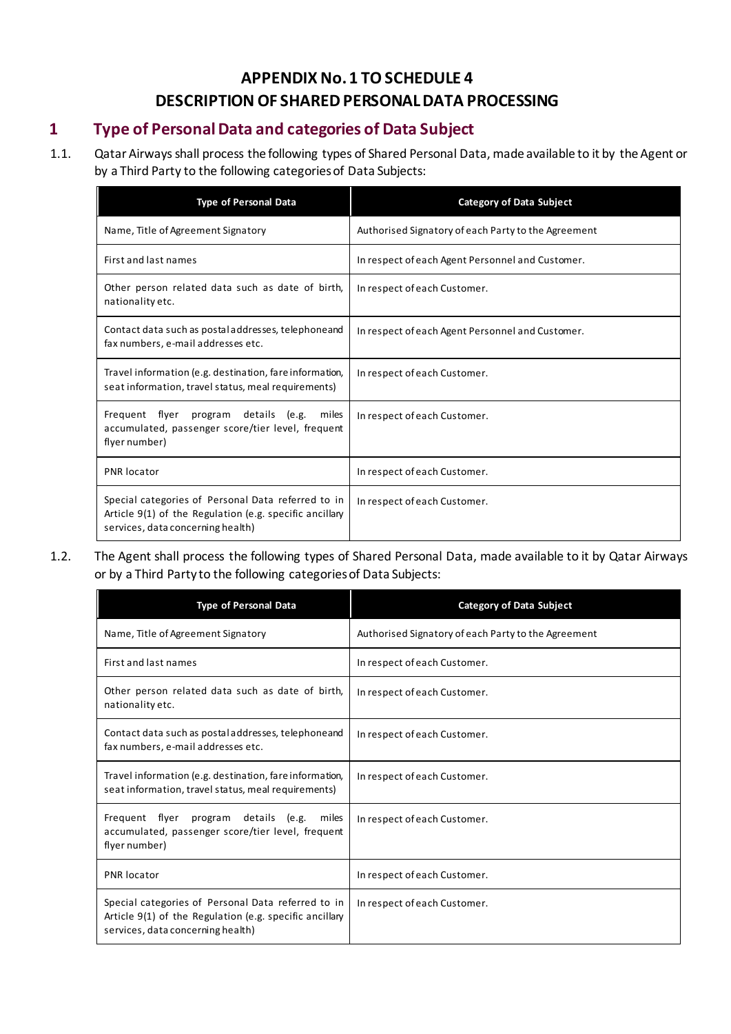### **APPENDIX No. 1 TOSCHEDULE 4 DESCRIPTION OF SHARED PERSONAL DATA PROCESSING**

### **1 Type of Personal Data and categories of Data Subject**

1.1. Qatar Airways shall process the following types of Shared Personal Data, made available to it by the Agent or by a Third Party to the following categories of Data Subjects:

| <b>Type of Personal Data</b>                                                                                                                       | <b>Category of Data Subject</b>                     |
|----------------------------------------------------------------------------------------------------------------------------------------------------|-----------------------------------------------------|
| Name, Title of Agreement Signatory                                                                                                                 | Authorised Signatory of each Party to the Agreement |
| First and last names                                                                                                                               | In respect of each Agent Personnel and Customer.    |
| Other person related data such as date of birth,<br>nationality etc.                                                                               | In respect of each Customer.                        |
| Contact data such as postal addresses, telephone and<br>fax numbers, e-mail addresses etc.                                                         | In respect of each Agent Personnel and Customer.    |
| Travel information (e.g. destination, fare information,<br>seat information, travel status, meal requirements)                                     | In respect of each Customer.                        |
| Frequent flyer program<br>details (e.g.<br>miles<br>accumulated, passenger score/tier level, frequent<br>flyer number)                             | In respect of each Customer.                        |
| <b>PNR</b> locator                                                                                                                                 | In respect of each Customer.                        |
| Special categories of Personal Data referred to in<br>Article 9(1) of the Regulation (e.g. specific ancillary<br>services, data concerning health) | In respect of each Customer.                        |

1.2. The Agent shall process the following types of Shared Personal Data, made available to it by Qatar Airways or by a Third Party to the following categories of Data Subjects:

| <b>Type of Personal Data</b>                                                                                                                       | <b>Category of Data Subject</b>                     |
|----------------------------------------------------------------------------------------------------------------------------------------------------|-----------------------------------------------------|
| Name, Title of Agreement Signatory                                                                                                                 | Authorised Signatory of each Party to the Agreement |
| First and last names                                                                                                                               | In respect of each Customer.                        |
| Other person related data such as date of birth,<br>nationality etc.                                                                               | In respect of each Customer.                        |
| Contact data such as postal addresses, telephone and<br>fax numbers, e-mail addresses etc.                                                         | In respect of each Customer.                        |
| Travel information (e.g. destination, fare information,<br>seat information, travel status, meal requirements)                                     | In respect of each Customer.                        |
| Frequent flyer<br>details (e.g.<br>program<br>miles<br>accumulated, passenger score/tier level, frequent<br>flyer number)                          | In respect of each Customer.                        |
| <b>PNR</b> locator                                                                                                                                 | In respect of each Customer.                        |
| Special categories of Personal Data referred to in<br>Article 9(1) of the Regulation (e.g. specific ancillary<br>services, data concerning health) | In respect of each Customer.                        |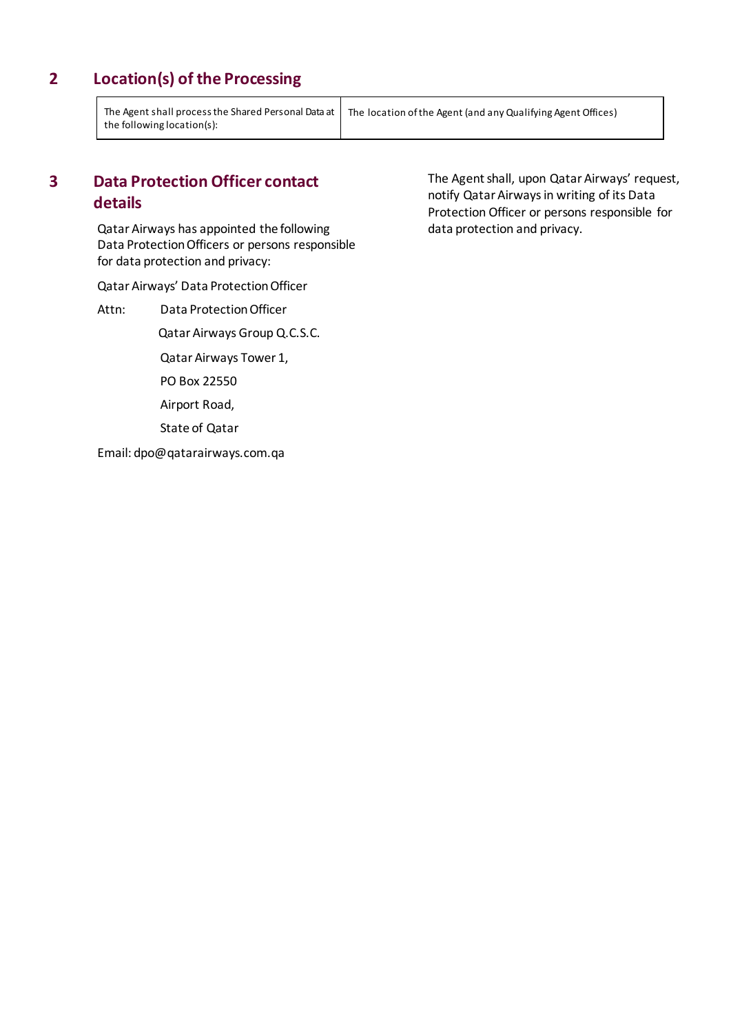### **2 Location(s) of the Processing**

The Agent shall process the Shared Personal Data at the following location(s):

The location of the Agent (and any Qualifying Agent Offices)

### **3 Data Protection Officer contact details**

Qatar Airways has appointed the following Data Protection Officers or persons responsible for data protection and privacy:

Qatar Airways' Data Protection Officer

Attn: Data Protection Officer Qatar Airways Group Q.C.S.C. Qatar Airways Tower 1, PO Box 22550 Airport Road, State of Qatar Email: dpo@qatarairways.com.qa

The Agent shall, upon Qatar Airways' request, notify Qatar Airways in writing of its Data Protection Officer or persons responsible for data protection and privacy.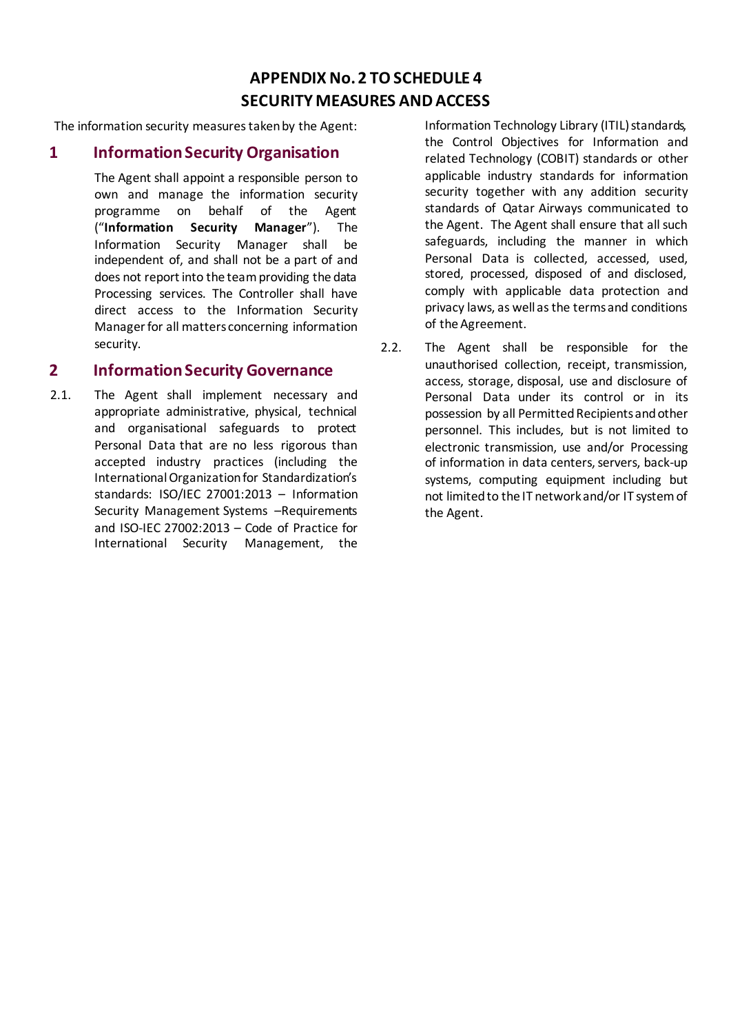### **APPENDIX No. 2 TOSCHEDULE 4 SECURITY MEASURES AND ACCESS**

The information security measures taken by the Agent:

#### **1 Information Security Organisation**

The Agent shall appoint a responsible person to own and manage the information security programme on behalf of the Agent ("**Information Security Manager**"). The Information Security Manager shall be independent of, and shall not be a part of and does not report into the team providing the data Processing services. The Controller shall have direct access to the Information Security Manager for all matters concerning information security.

#### **2 Information Security Governance**

2.1. The Agent shall implement necessary and appropriate administrative, physical, technical and organisational safeguards to protect Personal Data that are no less rigorous than accepted industry practices (including the International Organization for Standardization's standards: ISO/IEC 27001:2013 – Information Security Management Systems –Requirements and ISO-IEC 27002:2013 – Code of Practice for International Security Management, the

Information Technology Library (ITIL) standards, the Control Objectives for Information and related Technology (COBIT) standards or other applicable industry standards for information security together with any addition security standards of Qatar Airways communicated to the Agent. The Agent shall ensure that all such safeguards, including the manner in which Personal Data is collected, accessed, used, stored, processed, disposed of and disclosed, comply with applicable data protection and privacy laws, as well as the terms and conditions of the Agreement.

2.2. The Agent shall be responsible for the unauthorised collection, receipt, transmission, access, storage, disposal, use and disclosure of Personal Data under its control or in its possession by all Permitted Recipients and other personnel. This includes, but is not limited to electronic transmission, use and/or Processing of information in data centers, servers, back-up systems, computing equipment including but not limited to the IT network and/or IT system of the Agent.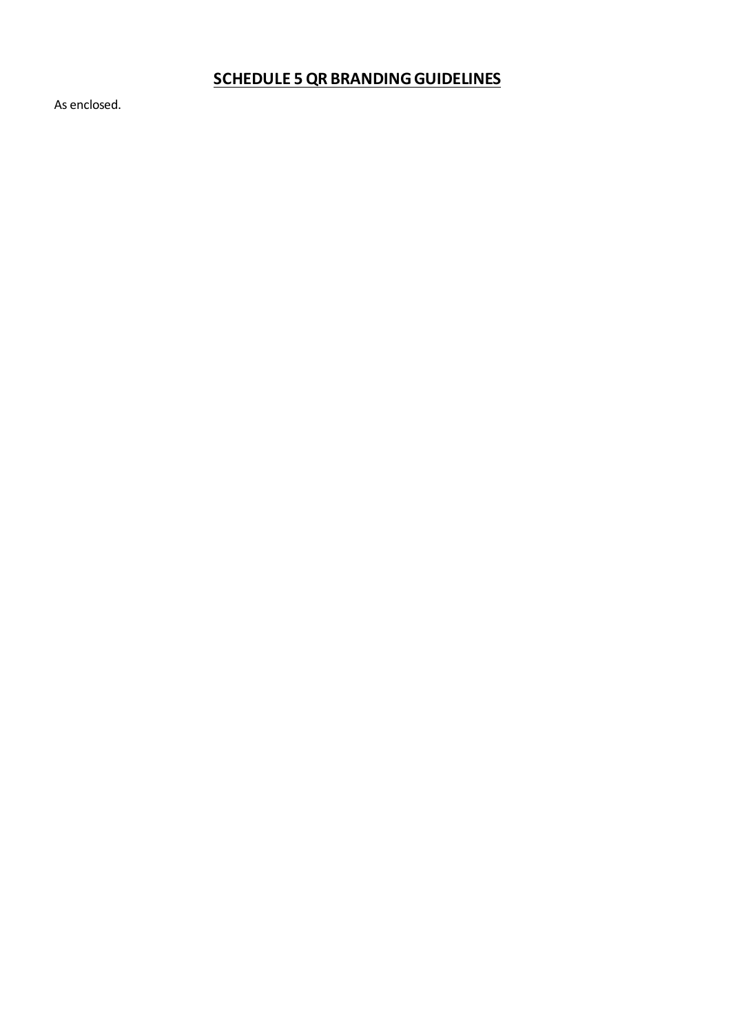# **SCHEDULE 5QR BRANDING GUIDELINES**

As enclosed.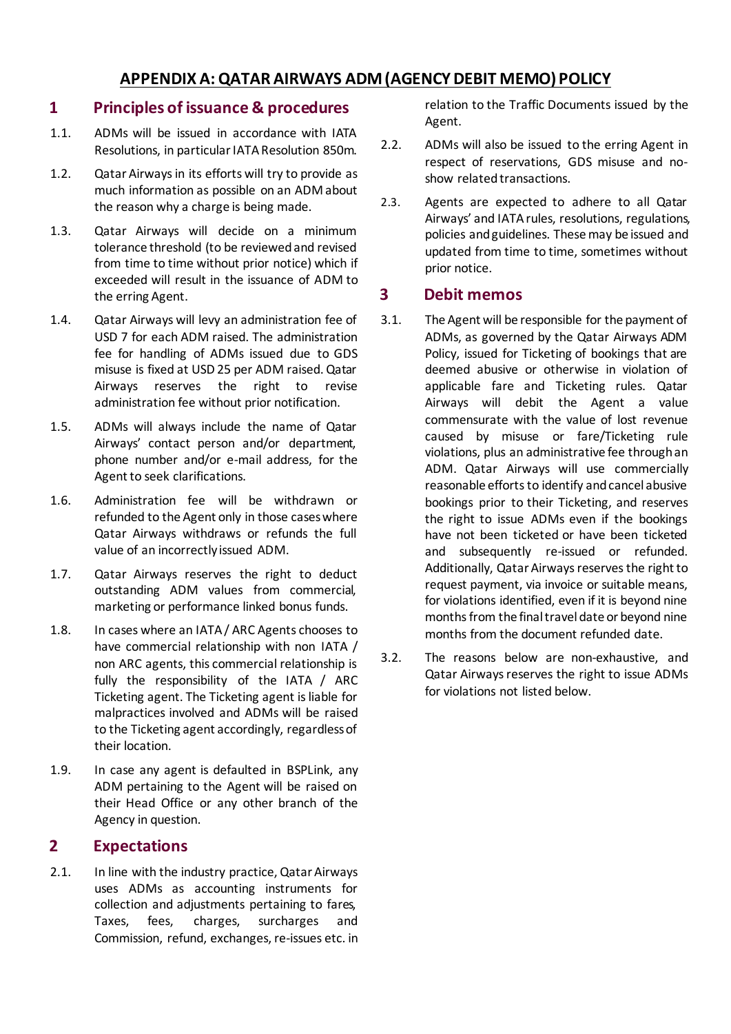### **APPENDIX A: QATAR AIRWAYS ADM(AGENCY DEBIT MEMO) POLICY**

### **1 Principles of issuance & procedures**

- 1.1. ADMs will be issued in accordance with IATA Resolutions, in particular IATA Resolution 850m.
- 1.2. Qatar Airways in its efforts will try to provide as much information as possible on an ADM about the reason why a charge is being made.
- 1.3. Qatar Airways will decide on a minimum tolerance threshold (to be reviewed and revised from time to time without prior notice) which if exceeded will result in the issuance of ADM to the erring Agent.
- 1.4. Qatar Airways will levy an administration fee of USD 7 for each ADM raised. The administration fee for handling of ADMs issued due to GDS misuse is fixed at USD 25 per ADM raised. Qatar Airways reserves the right to revise administration fee without prior notification.
- 1.5. ADMs will always include the name of Qatar Airways' contact person and/or department, phone number and/or e-mail address, for the Agent to seek clarifications.
- 1.6. Administration fee will be withdrawn or refunded to the Agent only in those cases where Qatar Airways withdraws or refunds the full value of an incorrectly issued ADM.
- 1.7. Qatar Airways reserves the right to deduct outstanding ADM values from commercial, marketing or performance linked bonus funds.
- 1.8. In cases where an IATA / ARC Agents chooses to have commercial relationship with non IATA / non ARC agents, this commercial relationship is fully the responsibility of the IATA / ARC Ticketing agent. The Ticketing agent is liable for malpractices involved and ADMs will be raised to the Ticketing agent accordingly, regardless of their location.
- 1.9. In case any agent is defaulted in BSPLink, any ADM pertaining to the Agent will be raised on their Head Office or any other branch of the Agency in question.

### **2 Expectations**

2.1. In line with the industry practice, Qatar Airways uses ADMs as accounting instruments for collection and adjustments pertaining to fares, Taxes, fees, charges, surcharges and Commission, refund, exchanges, re-issues etc. in relation to the Traffic Documents issued by the Agent.

- 2.2. ADMs will also be issued to the erring Agent in respect of reservations, GDS misuse and noshow related transactions.
- 2.3. Agents are expected to adhere to all Qatar Airways' and IATA rules, resolutions, regulations, policies and guidelines. These may be issued and updated from time to time, sometimes without prior notice.

### **3 Debit memos**

- 3.1. The Agent will be responsible for the payment of ADMs, as governed by the Qatar Airways ADM Policy, issued for Ticketing of bookings that are deemed abusive or otherwise in violation of applicable fare and Ticketing rules. Qatar Airways will debit the Agent a value commensurate with the value of lost revenue caused by misuse or fare/Ticketing rule violations, plus an administrative fee through an ADM. Qatar Airways will use commercially reasonable efforts to identify and cancel abusive bookings prior to their Ticketing, and reserves the right to issue ADMs even if the bookings have not been ticketed or have been ticketed and subsequently re-issued or refunded. Additionally, Qatar Airways reserves the right to request payment, via invoice or suitable means, for violations identified, even if it is beyond nine months from the final travel date or beyond nine months from the document refunded date.
- 3.2. The reasons below are non-exhaustive, and Qatar Airways reserves the right to issue ADMs for violations not listed below.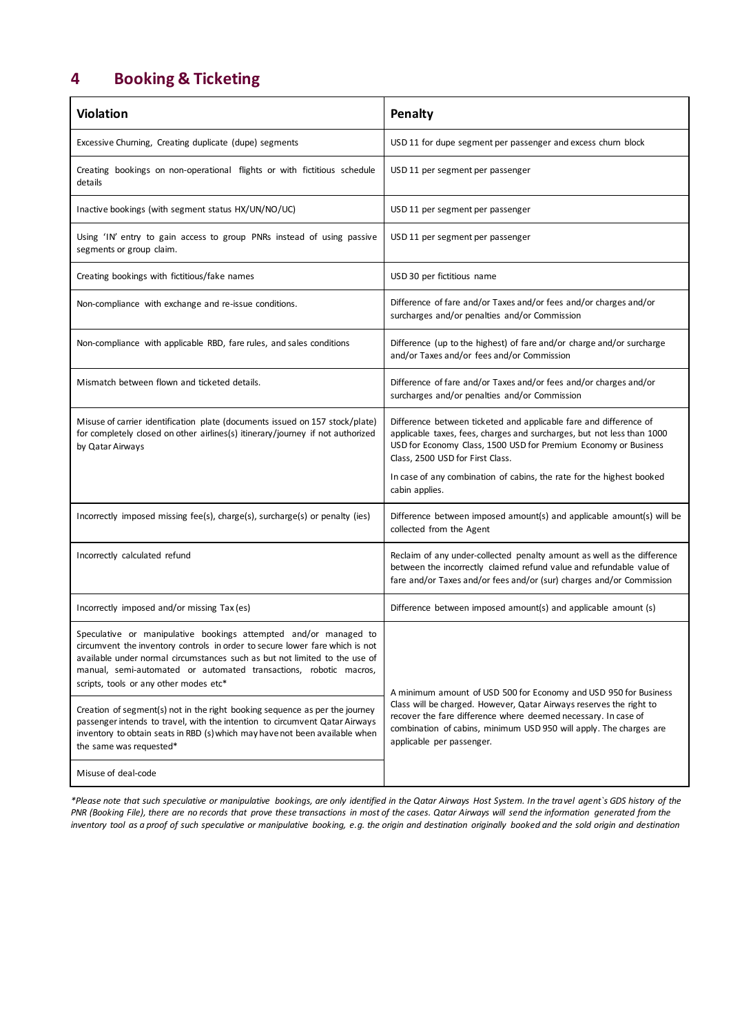# **4 Booking & Ticketing**

| <b>Violation</b>                                                                                                                                                                                                                                                                                                                              | Penalty                                                                                                                                                                                                                                            |  |
|-----------------------------------------------------------------------------------------------------------------------------------------------------------------------------------------------------------------------------------------------------------------------------------------------------------------------------------------------|----------------------------------------------------------------------------------------------------------------------------------------------------------------------------------------------------------------------------------------------------|--|
| Excessive Churning, Creating duplicate (dupe) segments                                                                                                                                                                                                                                                                                        | USD 11 for dupe segment per passenger and excess churn block                                                                                                                                                                                       |  |
| Creating bookings on non-operational flights or with fictitious schedule<br>details                                                                                                                                                                                                                                                           | USD 11 per segment per passenger                                                                                                                                                                                                                   |  |
| Inactive bookings (with segment status HX/UN/NO/UC)                                                                                                                                                                                                                                                                                           | USD 11 per segment per passenger                                                                                                                                                                                                                   |  |
| Using 'IN' entry to gain access to group PNRs instead of using passive<br>segments or group claim.                                                                                                                                                                                                                                            | USD 11 per segment per passenger                                                                                                                                                                                                                   |  |
| Creating bookings with fictitious/fake names                                                                                                                                                                                                                                                                                                  | USD 30 per fictitious name                                                                                                                                                                                                                         |  |
| Non-compliance with exchange and re-issue conditions.                                                                                                                                                                                                                                                                                         | Difference of fare and/or Taxes and/or fees and/or charges and/or<br>surcharges and/or penalties and/or Commission                                                                                                                                 |  |
| Non-compliance with applicable RBD, fare rules, and sales conditions                                                                                                                                                                                                                                                                          | Difference (up to the highest) of fare and/or charge and/or surcharge<br>and/or Taxes and/or fees and/or Commission                                                                                                                                |  |
| Mismatch between flown and ticketed details.                                                                                                                                                                                                                                                                                                  | Difference of fare and/or Taxes and/or fees and/or charges and/or<br>surcharges and/or penalties and/or Commission                                                                                                                                 |  |
| Misuse of carrier identification plate (documents issued on 157 stock/plate)<br>for completely closed on other airlines(s) itinerary/journey if not authorized<br>by Qatar Airways                                                                                                                                                            | Difference between ticketed and applicable fare and difference of<br>applicable taxes, fees, charges and surcharges, but not less than 1000<br>USD for Economy Class, 1500 USD for Premium Economy or Business<br>Class, 2500 USD for First Class. |  |
|                                                                                                                                                                                                                                                                                                                                               | In case of any combination of cabins, the rate for the highest booked<br>cabin applies.                                                                                                                                                            |  |
| Incorrectly imposed missing fee(s), charge(s), surcharge(s) or penalty (ies)                                                                                                                                                                                                                                                                  | Difference between imposed amount(s) and applicable amount(s) will be<br>collected from the Agent                                                                                                                                                  |  |
| Incorrectly calculated refund                                                                                                                                                                                                                                                                                                                 | Reclaim of any under-collected penalty amount as well as the difference<br>between the incorrectly claimed refund value and refundable value of<br>fare and/or Taxes and/or fees and/or (sur) charges and/or Commission                            |  |
| Incorrectly imposed and/or missing Tax (es)                                                                                                                                                                                                                                                                                                   | Difference between imposed amount(s) and applicable amount (s)                                                                                                                                                                                     |  |
| Speculative or manipulative bookings attempted and/or managed to<br>circumvent the inventory controls in order to secure lower fare which is not<br>available under normal circumstances such as but not limited to the use of<br>manual, semi-automated or automated transactions, robotic macros,<br>scripts, tools or any other modes etc* | A minimum amount of USD 500 for Economy and USD 950 for Business                                                                                                                                                                                   |  |
| Creation of segment(s) not in the right booking sequence as per the journey<br>passenger intends to travel, with the intention to circumvent Qatar Airways<br>inventory to obtain seats in RBD (s) which may have not been available when<br>the same was requested*                                                                          | Class will be charged. However, Qatar Airways reserves the right to<br>recover the fare difference where deemed necessary. In case of<br>combination of cabins, minimum USD 950 will apply. The charges are<br>applicable per passenger.           |  |
| Misuse of deal-code                                                                                                                                                                                                                                                                                                                           |                                                                                                                                                                                                                                                    |  |

*\*Please note that such speculative or manipulative bookings, are only identified in the Qatar Airways Host System. In the travel agent`s GDS history of the PNR (Booking File), there are no records that prove these transactions in most of the cases. Qatar Airways will send the information generated from the inventory tool as a proof of such speculative or manipulative booking, e.g. the origin and destination originally booked and the sold origin and destination*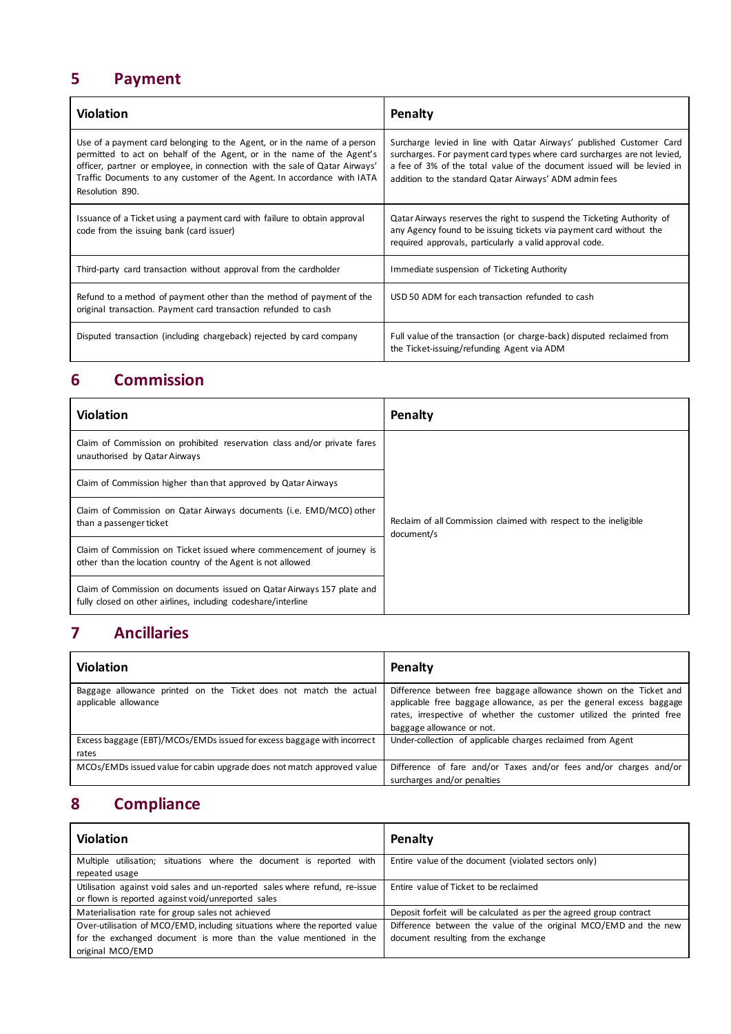# **5 Payment**

| <b>Violation</b>                                                                                                                                                                                                                                                                                                                | Penalty                                                                                                                                                                                                                                                                               |
|---------------------------------------------------------------------------------------------------------------------------------------------------------------------------------------------------------------------------------------------------------------------------------------------------------------------------------|---------------------------------------------------------------------------------------------------------------------------------------------------------------------------------------------------------------------------------------------------------------------------------------|
| Use of a payment card belonging to the Agent, or in the name of a person<br>permitted to act on behalf of the Agent, or in the name of the Agent's<br>officer, partner or employee, in connection with the sale of Qatar Airways'<br>Traffic Documents to any customer of the Agent. In accordance with IATA<br>Resolution 890. | Surcharge levied in line with Qatar Airways' published Customer Card<br>surcharges. For payment card types where card surcharges are not levied,<br>a fee of 3% of the total value of the document issued will be levied in<br>addition to the standard Qatar Airways' ADM admin fees |
| Issuance of a Ticket using a payment card with failure to obtain approval<br>code from the issuing bank (card issuer)                                                                                                                                                                                                           | Qatar Airways reserves the right to suspend the Ticketing Authority of<br>any Agency found to be issuing tickets via payment card without the<br>required approvals, particularly a valid approval code.                                                                              |
| Third-party card transaction without approval from the cardholder                                                                                                                                                                                                                                                               | Immediate suspension of Ticketing Authority                                                                                                                                                                                                                                           |
| Refund to a method of payment other than the method of payment of the<br>original transaction. Payment card transaction refunded to cash                                                                                                                                                                                        | USD 50 ADM for each transaction refunded to cash                                                                                                                                                                                                                                      |
| Disputed transaction (including chargeback) rejected by card company                                                                                                                                                                                                                                                            | Full value of the transaction (or charge-back) disputed reclaimed from<br>the Ticket-issuing/refunding Agent via ADM                                                                                                                                                                  |

# **6 Commission**

| <b>Violation</b>                                                                                                                        | Penalty                                                                        |
|-----------------------------------------------------------------------------------------------------------------------------------------|--------------------------------------------------------------------------------|
| Claim of Commission on prohibited reservation class and/or private fares<br>unauthorised by Qatar Airways                               |                                                                                |
| Claim of Commission higher than that approved by Qatar Airways                                                                          |                                                                                |
| Claim of Commission on Qatar Airways documents (i.e. EMD/MCO) other<br>than a passenger ticket                                          | Reclaim of all Commission claimed with respect to the ineligible<br>document/s |
| Claim of Commission on Ticket issued where commencement of journey is<br>other than the location country of the Agent is not allowed    |                                                                                |
| Claim of Commission on documents issued on Qatar Airways 157 plate and<br>fully closed on other airlines, including codeshare/interline |                                                                                |

# **7 Ancillaries**

| <b>Violation</b>                                                                          | Penalty                                                                                                                                                                                                                                         |
|-------------------------------------------------------------------------------------------|-------------------------------------------------------------------------------------------------------------------------------------------------------------------------------------------------------------------------------------------------|
| Baggage allowance printed on the Ticket does not match the actual<br>applicable allowance | Difference between free baggage allowance shown on the Ticket and<br>applicable free baggage allowance, as per the general excess baggage<br>rates, irrespective of whether the customer utilized the printed free<br>baggage allowance or not. |
| Excess baggage (EBT)/MCOs/EMDs issued for excess baggage with incorrect<br>rates          | Under-collection of applicable charges reclaimed from Agent                                                                                                                                                                                     |
| MCOs/EMDs issued value for cabin upgrade does not match approved value                    | Difference of fare and/or Taxes and/or fees and/or charges and/or<br>surcharges and/or penalties                                                                                                                                                |

# **8 Compliance**

| <b>Violation</b>                                                            | Penalty                                                             |
|-----------------------------------------------------------------------------|---------------------------------------------------------------------|
| Multiple utilisation; situations where the document is reported with        | Entire value of the document (violated sectors only)                |
| repeated usage                                                              |                                                                     |
| Utilisation against void sales and un-reported sales where refund, re-issue | Entire value of Ticket to be reclaimed                              |
| or flown is reported against void/unreported sales                          |                                                                     |
| Materialisation rate for group sales not achieved                           | Deposit forfeit will be calculated as per the agreed group contract |
| Over-utilisation of MCO/EMD, including situations where the reported value  | Difference between the value of the original MCO/EMD and the new    |
| for the exchanged document is more than the value mentioned in the          | document resulting from the exchange                                |
| original MCO/EMD                                                            |                                                                     |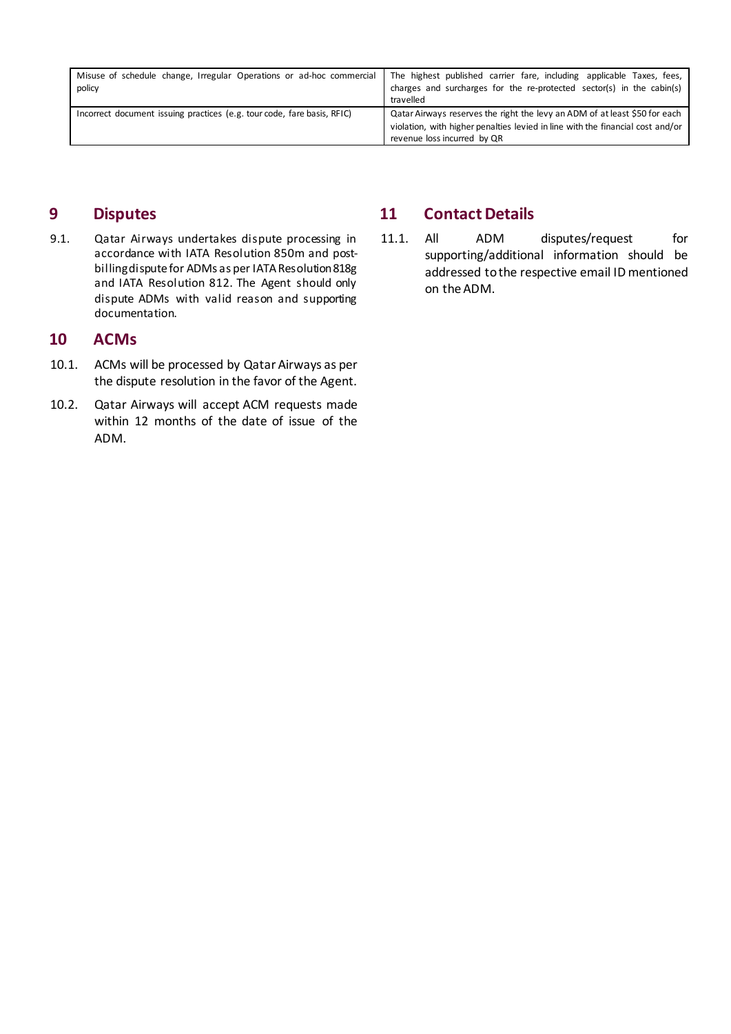| Misuse of schedule change, Irregular Operations or ad-hoc commercial<br>policy | The highest published carrier fare, including applicable Taxes, fees,<br>charges and surcharges for the re-protected sector(s) in the cabin(s)<br>travelled                                 |
|--------------------------------------------------------------------------------|---------------------------------------------------------------------------------------------------------------------------------------------------------------------------------------------|
| Incorrect document issuing practices (e.g. tour code, fare basis, RFIC)        | Qatar Airways reserves the right the levy an ADM of at least \$50 for each<br>violation, with higher penalties levied in line with the financial cost and/or<br>revenue loss incurred by QR |

### **9 Disputes**

9.1. Qatar Airways undertakes dispute processing in accordance with IATA Resolution 850m and postbilling dispute for ADMs as per IATA Resolution 818g and IATA Resolution 812. The Agent should only dispute ADMs with valid reason and supporting documentation.

### **10 ACMs**

- 10.1. ACMs will be processed by Qatar Airways as per the dispute resolution in the favor of the Agent.
- 10.2. Qatar Airways will accept ACM requests made within 12 months of the date of issue of the ADM.

### **11 Contact Details**

11.1. All ADM disputes/request for supporting/additional information should be addressed to the respective email ID mentioned on the ADM.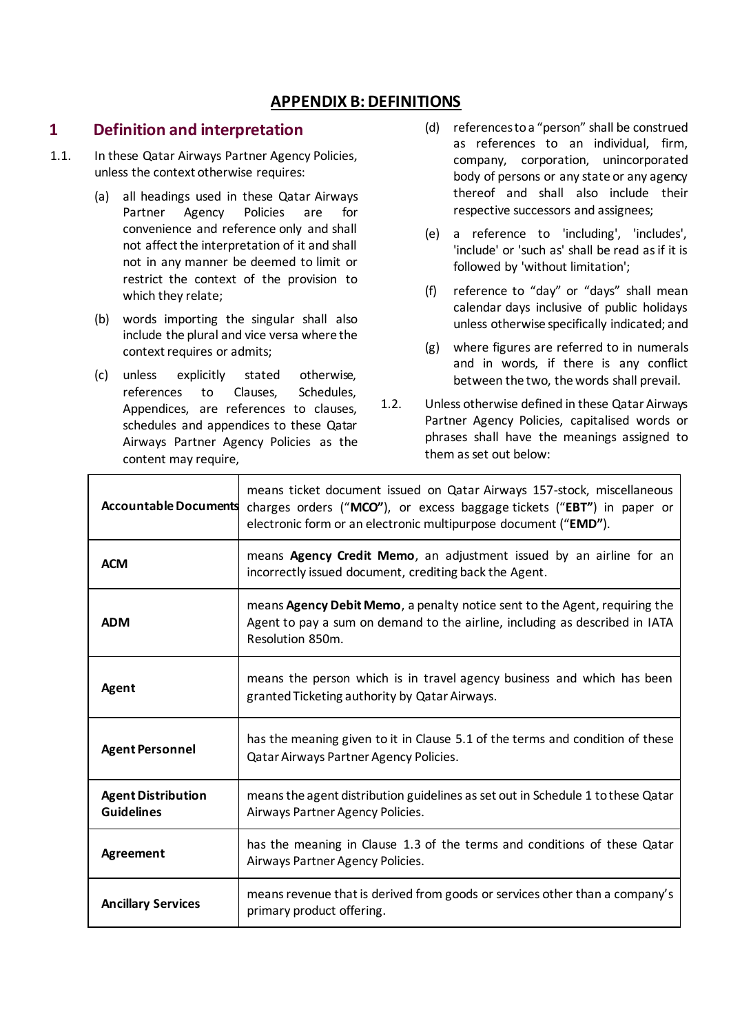### **APPENDIX B: DEFINITIONS**

#### **1 Definition and interpretation**

- 1.1. In these Qatar Airways Partner Agency Policies, unless the context otherwise requires:
	- (a) all headings used in these Qatar Airways Partner Agency Policies are for convenience and reference only and shall not affect the interpretation of it and shall not in any manner be deemed to limit or restrict the context of the provision to which they relate;
	- (b) words importing the singular shall also include the plural and vice versa where the context requires or admits;
	- (c) unless explicitly stated otherwise, references to Clauses, Schedules, Appendices, are references to clauses, schedules and appendices to these Qatar Airways Partner Agency Policies as the content may require,
- (d) references to a "person" shall be construed as references to an individual, firm, company, corporation, unincorporated body of persons or any state or any agency thereof and shall also include their respective successors and assignees;
- (e) a reference to 'including', 'includes', 'include' or 'such as' shall be read as if it is followed by 'without limitation';
- (f) reference to "day" or "days" shall mean calendar days inclusive of public holidays unless otherwise specifically indicated; and
- (g) where figures are referred to in numerals and in words, if there is any conflict between the two, the words shall prevail.
- 1.2. Unless otherwise defined in these Qatar Airways Partner Agency Policies, capitalised words or phrases shall have the meanings assigned to them as set out below:

| <b>Accountable Documents</b>                   | means ticket document issued on Qatar Airways 157-stock, miscellaneous<br>charges orders ("MCO"), or excess baggage tickets ("EBT") in paper or<br>electronic form or an electronic multipurpose document ("EMD"). |
|------------------------------------------------|--------------------------------------------------------------------------------------------------------------------------------------------------------------------------------------------------------------------|
| <b>ACM</b>                                     | means Agency Credit Memo, an adjustment issued by an airline for an<br>incorrectly issued document, crediting back the Agent.                                                                                      |
| <b>ADM</b>                                     | means <b>Agency Debit Memo</b> , a penalty notice sent to the Agent, requiring the<br>Agent to pay a sum on demand to the airline, including as described in IATA<br>Resolution 850m.                              |
| Agent                                          | means the person which is in travel agency business and which has been<br>granted Ticketing authority by Qatar Airways.                                                                                            |
| <b>Agent Personnel</b>                         | has the meaning given to it in Clause 5.1 of the terms and condition of these<br>Qatar Airways Partner Agency Policies.                                                                                            |
| <b>Agent Distribution</b><br><b>Guidelines</b> | means the agent distribution guidelines as set out in Schedule 1 to these Qatar<br>Airways Partner Agency Policies.                                                                                                |
| Agreement                                      | has the meaning in Clause 1.3 of the terms and conditions of these Qatar<br>Airways Partner Agency Policies.                                                                                                       |
| <b>Ancillary Services</b>                      | means revenue that is derived from goods or services other than a company's<br>primary product offering.                                                                                                           |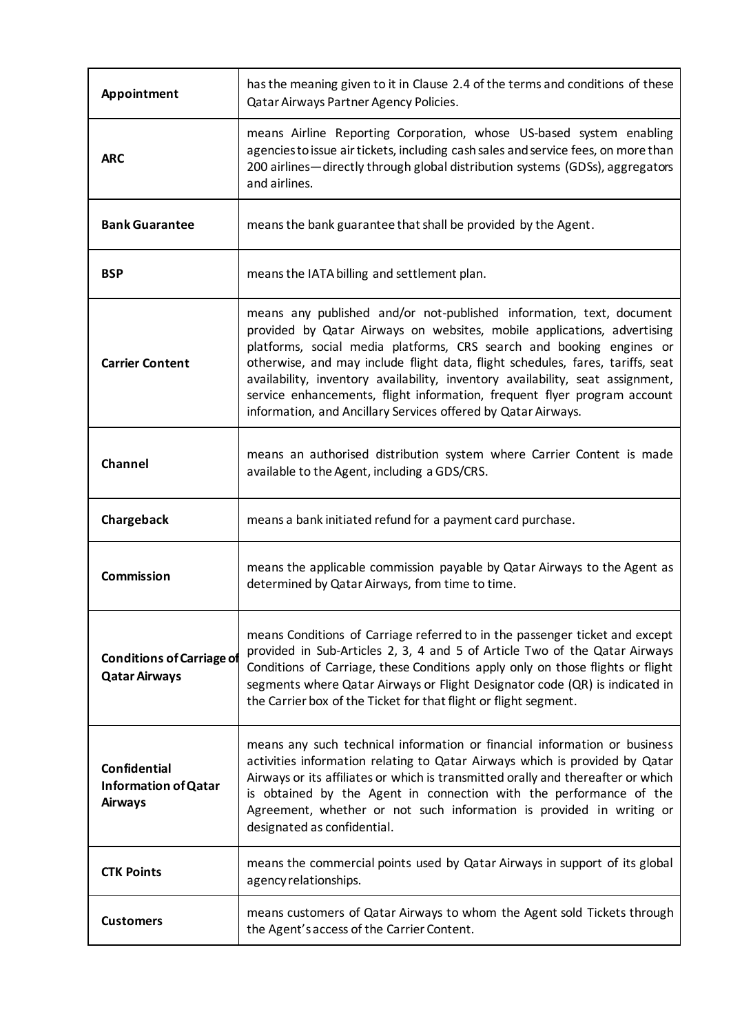| Appointment                                                          | has the meaning given to it in Clause 2.4 of the terms and conditions of these<br>Qatar Airways Partner Agency Policies.                                                                                                                                                                                                                                                                                                                                                                                                                 |
|----------------------------------------------------------------------|------------------------------------------------------------------------------------------------------------------------------------------------------------------------------------------------------------------------------------------------------------------------------------------------------------------------------------------------------------------------------------------------------------------------------------------------------------------------------------------------------------------------------------------|
| <b>ARC</b>                                                           | means Airline Reporting Corporation, whose US-based system enabling<br>agencies to issue air tickets, including cash sales and service fees, on more than<br>200 airlines—directly through global distribution systems (GDSs), aggregators<br>and airlines.                                                                                                                                                                                                                                                                              |
| <b>Bank Guarantee</b>                                                | means the bank guarantee that shall be provided by the Agent.                                                                                                                                                                                                                                                                                                                                                                                                                                                                            |
| <b>BSP</b>                                                           | means the IATA billing and settlement plan.                                                                                                                                                                                                                                                                                                                                                                                                                                                                                              |
| <b>Carrier Content</b>                                               | means any published and/or not-published information, text, document<br>provided by Qatar Airways on websites, mobile applications, advertising<br>platforms, social media platforms, CRS search and booking engines or<br>otherwise, and may include flight data, flight schedules, fares, tariffs, seat<br>availability, inventory availability, inventory availability, seat assignment,<br>service enhancements, flight information, frequent flyer program account<br>information, and Ancillary Services offered by Qatar Airways. |
| Channel                                                              | means an authorised distribution system where Carrier Content is made<br>available to the Agent, including a GDS/CRS.                                                                                                                                                                                                                                                                                                                                                                                                                    |
| Chargeback                                                           | means a bank initiated refund for a payment card purchase.                                                                                                                                                                                                                                                                                                                                                                                                                                                                               |
| <b>Commission</b>                                                    | means the applicable commission payable by Qatar Airways to the Agent as<br>determined by Qatar Airways, from time to time.                                                                                                                                                                                                                                                                                                                                                                                                              |
| <b>Conditions of Carriage of</b><br><b>Qatar Airways</b>             | means Conditions of Carriage referred to in the passenger ticket and except<br>provided in Sub-Articles 2, 3, 4 and 5 of Article Two of the Qatar Airways<br>Conditions of Carriage, these Conditions apply only on those flights or flight<br>segments where Qatar Airways or Flight Designator code (QR) is indicated in<br>the Carrier box of the Ticket for that flight or flight segment.                                                                                                                                           |
| <b>Confidential</b><br><b>Information of Qatar</b><br><b>Airways</b> | means any such technical information or financial information or business<br>activities information relating to Qatar Airways which is provided by Qatar<br>Airways or its affiliates or which is transmitted orally and thereafter or which<br>is obtained by the Agent in connection with the performance of the<br>Agreement, whether or not such information is provided in writing or<br>designated as confidential.                                                                                                                |
| <b>CTK Points</b>                                                    | means the commercial points used by Qatar Airways in support of its global<br>agency relationships.                                                                                                                                                                                                                                                                                                                                                                                                                                      |
| <b>Customers</b>                                                     | means customers of Qatar Airways to whom the Agent sold Tickets through<br>the Agent's access of the Carrier Content.                                                                                                                                                                                                                                                                                                                                                                                                                    |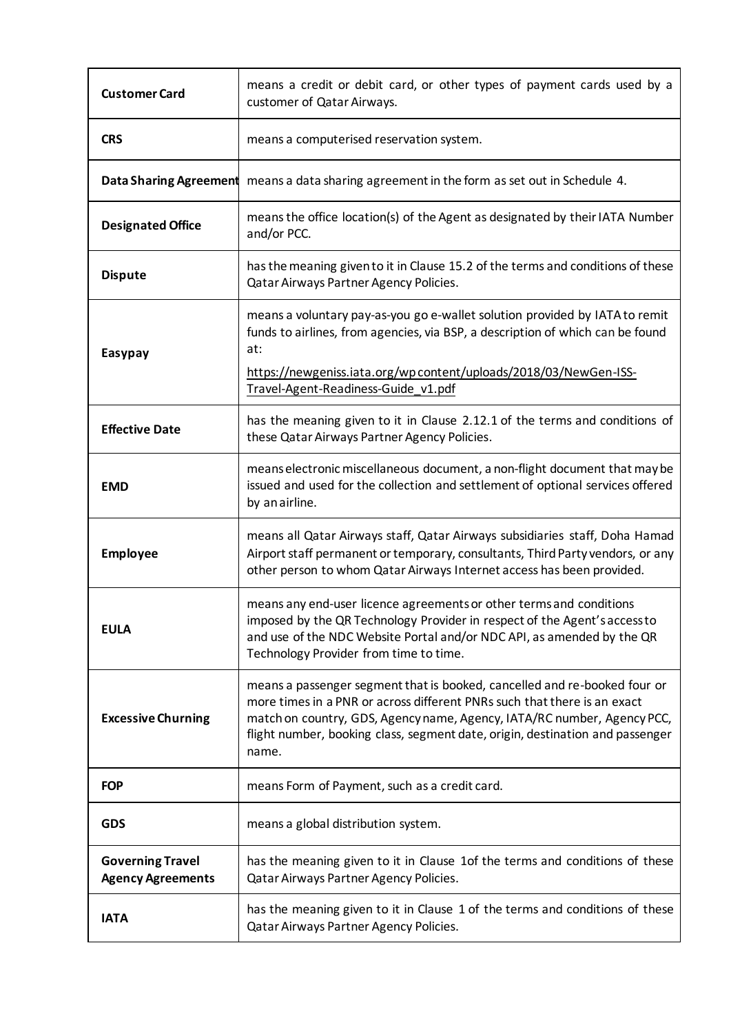| <b>Customer Card</b>                                | means a credit or debit card, or other types of payment cards used by a<br>customer of Qatar Airways.                                                                                                                                                                                                                      |
|-----------------------------------------------------|----------------------------------------------------------------------------------------------------------------------------------------------------------------------------------------------------------------------------------------------------------------------------------------------------------------------------|
| <b>CRS</b>                                          | means a computerised reservation system.                                                                                                                                                                                                                                                                                   |
| <b>Data Sharing Agreement</b>                       | means a data sharing agreement in the form as set out in Schedule 4.                                                                                                                                                                                                                                                       |
| <b>Designated Office</b>                            | means the office location(s) of the Agent as designated by their IATA Number<br>and/or PCC.                                                                                                                                                                                                                                |
| <b>Dispute</b>                                      | has the meaning given to it in Clause 15.2 of the terms and conditions of these<br>Qatar Airways Partner Agency Policies.                                                                                                                                                                                                  |
| Easypay                                             | means a voluntary pay-as-you go e-wallet solution provided by IATA to remit<br>funds to airlines, from agencies, via BSP, a description of which can be found<br>at:<br>https://newgeniss.iata.org/wpcontent/uploads/2018/03/NewGen-ISS-<br>Travel-Agent-Readiness-Guide_v1.pdf                                            |
| <b>Effective Date</b>                               | has the meaning given to it in Clause 2.12.1 of the terms and conditions of<br>these Qatar Airways Partner Agency Policies.                                                                                                                                                                                                |
| <b>EMD</b>                                          | means electronic miscellaneous document, a non-flight document that may be<br>issued and used for the collection and settlement of optional services offered<br>by an airline.                                                                                                                                             |
| <b>Employee</b>                                     | means all Qatar Airways staff, Qatar Airways subsidiaries staff, Doha Hamad<br>Airport staff permanent or temporary, consultants, Third Party vendors, or any<br>other person to whom Qatar Airways Internet access has been provided.                                                                                     |
| <b>EULA</b>                                         | means any end-user licence agreements or other terms and conditions<br>imposed by the QR Technology Provider in respect of the Agent's access to<br>and use of the NDC Website Portal and/or NDC API, as amended by the QR<br>Technology Provider from time to time.                                                       |
| <b>Excessive Churning</b>                           | means a passenger segment that is booked, cancelled and re-booked four or<br>more times in a PNR or across different PNRs such that there is an exact<br>match on country, GDS, Agency name, Agency, IATA/RC number, Agency PCC,<br>flight number, booking class, segment date, origin, destination and passenger<br>name. |
| <b>FOP</b>                                          | means Form of Payment, such as a credit card.                                                                                                                                                                                                                                                                              |
| <b>GDS</b>                                          | means a global distribution system.                                                                                                                                                                                                                                                                                        |
| <b>Governing Travel</b><br><b>Agency Agreements</b> | has the meaning given to it in Clause 1 of the terms and conditions of these<br>Qatar Airways Partner Agency Policies.                                                                                                                                                                                                     |
| <b>IATA</b>                                         | has the meaning given to it in Clause 1 of the terms and conditions of these<br>Qatar Airways Partner Agency Policies.                                                                                                                                                                                                     |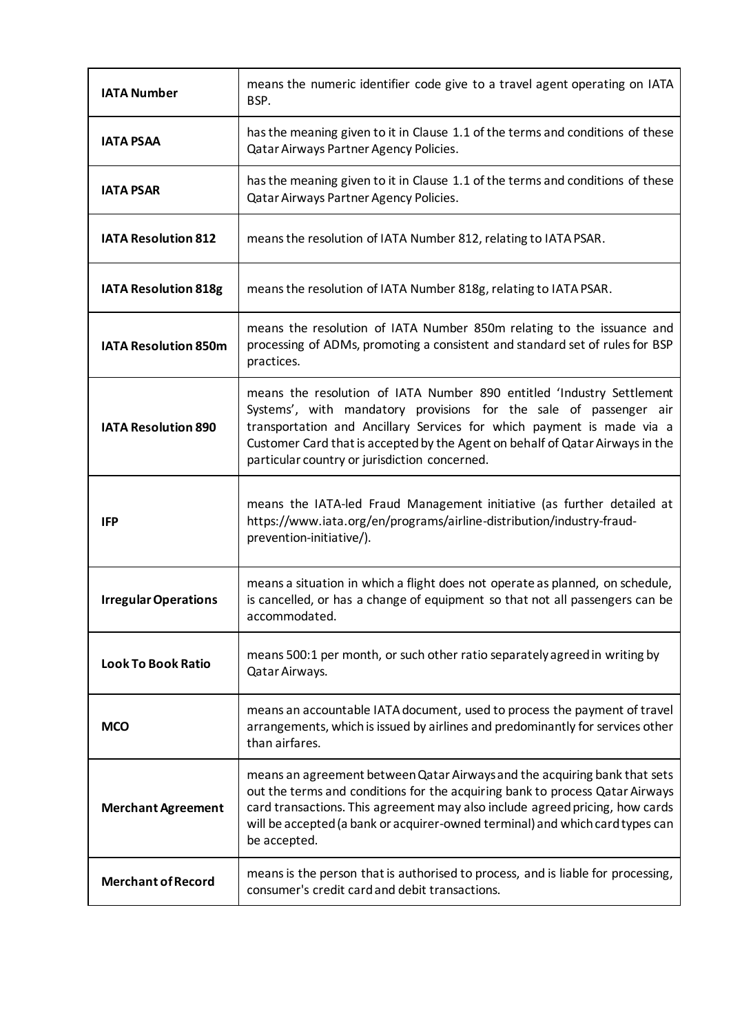| <b>IATA Number</b>          | means the numeric identifier code give to a travel agent operating on IATA<br>BSP.                                                                                                                                                                                                                                                                    |
|-----------------------------|-------------------------------------------------------------------------------------------------------------------------------------------------------------------------------------------------------------------------------------------------------------------------------------------------------------------------------------------------------|
| <b>IATA PSAA</b>            | has the meaning given to it in Clause 1.1 of the terms and conditions of these<br>Qatar Airways Partner Agency Policies.                                                                                                                                                                                                                              |
| <b>IATA PSAR</b>            | has the meaning given to it in Clause 1.1 of the terms and conditions of these<br>Qatar Airways Partner Agency Policies.                                                                                                                                                                                                                              |
| <b>IATA Resolution 812</b>  | means the resolution of IATA Number 812, relating to IATA PSAR.                                                                                                                                                                                                                                                                                       |
| <b>IATA Resolution 818g</b> | means the resolution of IATA Number 818g, relating to IATA PSAR.                                                                                                                                                                                                                                                                                      |
| <b>IATA Resolution 850m</b> | means the resolution of IATA Number 850m relating to the issuance and<br>processing of ADMs, promoting a consistent and standard set of rules for BSP<br>practices.                                                                                                                                                                                   |
| <b>IATA Resolution 890</b>  | means the resolution of IATA Number 890 entitled 'Industry Settlement<br>Systems', with mandatory provisions for the sale of passenger air<br>transportation and Ancillary Services for which payment is made via a<br>Customer Card that is accepted by the Agent on behalf of Qatar Airways in the<br>particular country or jurisdiction concerned. |
| <b>IFP</b>                  | means the IATA-led Fraud Management initiative (as further detailed at<br>https://www.iata.org/en/programs/airline-distribution/industry-fraud-<br>prevention-initiative/).                                                                                                                                                                           |
| <b>Irregular Operations</b> | means a situation in which a flight does not operate as planned, on schedule,<br>is cancelled, or has a change of equipment so that not all passengers can be<br>accommodated.                                                                                                                                                                        |
| <b>Look To Book Ratio</b>   | means 500:1 per month, or such other ratio separately agreed in writing by<br>Qatar Airways.                                                                                                                                                                                                                                                          |
| <b>MCO</b>                  | means an accountable IATA document, used to process the payment of travel<br>arrangements, which is issued by airlines and predominantly for services other<br>than airfares.                                                                                                                                                                         |
| <b>Merchant Agreement</b>   | means an agreement between Qatar Airways and the acquiring bank that sets<br>out the terms and conditions for the acquiring bank to process Qatar Airways<br>card transactions. This agreement may also include agreed pricing, how cards<br>will be accepted (a bank or acquirer-owned terminal) and which card types can<br>be accepted.            |
| <b>Merchant of Record</b>   | means is the person that is authorised to process, and is liable for processing,<br>consumer's credit card and debit transactions.                                                                                                                                                                                                                    |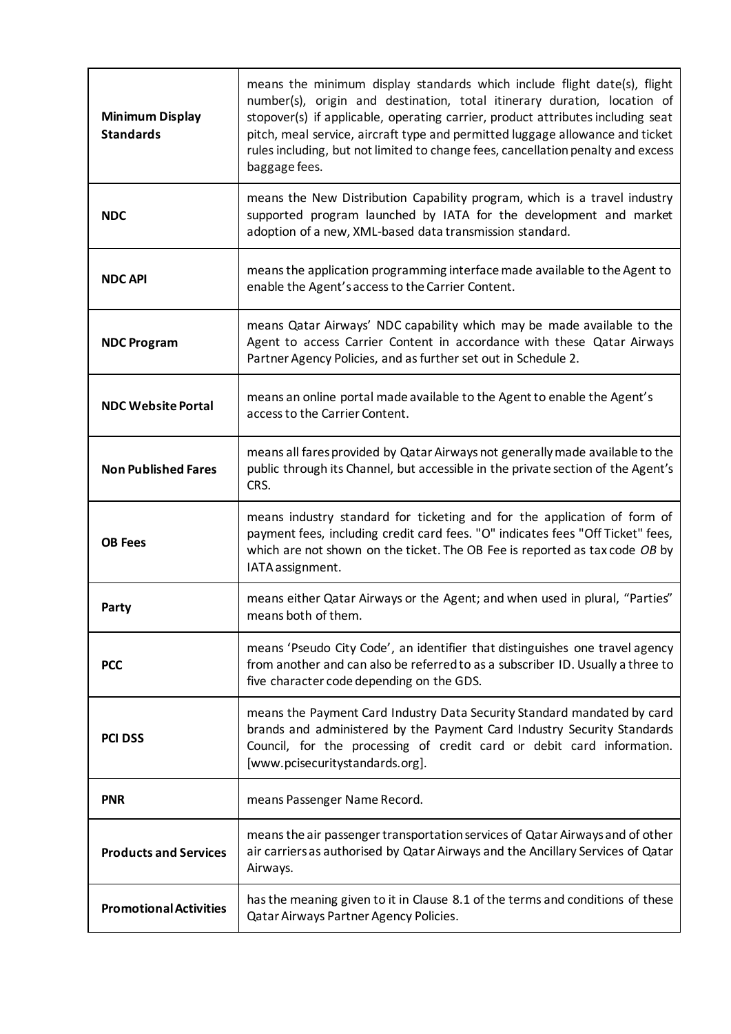| <b>Minimum Display</b><br><b>Standards</b> | means the minimum display standards which include flight date(s), flight<br>number(s), origin and destination, total itinerary duration, location of<br>stopover(s) if applicable, operating carrier, product attributes including seat<br>pitch, meal service, aircraft type and permitted luggage allowance and ticket<br>rules including, but not limited to change fees, cancellation penalty and excess<br>baggage fees. |
|--------------------------------------------|-------------------------------------------------------------------------------------------------------------------------------------------------------------------------------------------------------------------------------------------------------------------------------------------------------------------------------------------------------------------------------------------------------------------------------|
| <b>NDC</b>                                 | means the New Distribution Capability program, which is a travel industry<br>supported program launched by IATA for the development and market<br>adoption of a new, XML-based data transmission standard.                                                                                                                                                                                                                    |
| <b>NDC API</b>                             | means the application programming interface made available to the Agent to<br>enable the Agent's access to the Carrier Content.                                                                                                                                                                                                                                                                                               |
| <b>NDC Program</b>                         | means Qatar Airways' NDC capability which may be made available to the<br>Agent to access Carrier Content in accordance with these Qatar Airways<br>Partner Agency Policies, and as further set out in Schedule 2.                                                                                                                                                                                                            |
| <b>NDC Website Portal</b>                  | means an online portal made available to the Agent to enable the Agent's<br>access to the Carrier Content.                                                                                                                                                                                                                                                                                                                    |
| <b>Non Published Fares</b>                 | means all fares provided by Qatar Airways not generally made available to the<br>public through its Channel, but accessible in the private section of the Agent's<br>CRS.                                                                                                                                                                                                                                                     |
| <b>OB Fees</b>                             | means industry standard for ticketing and for the application of form of<br>payment fees, including credit card fees. "O" indicates fees "Off Ticket" fees,<br>which are not shown on the ticket. The OB Fee is reported as tax code OB by<br>IATA assignment.                                                                                                                                                                |
| Party                                      | means either Qatar Airways or the Agent; and when used in plural, "Parties"<br>means both of them.                                                                                                                                                                                                                                                                                                                            |
| <b>PCC</b>                                 | means 'Pseudo City Code', an identifier that distinguishes one travel agency<br>from another and can also be referred to as a subscriber ID. Usually a three to<br>five character code depending on the GDS.                                                                                                                                                                                                                  |
| <b>PCI DSS</b>                             | means the Payment Card Industry Data Security Standard mandated by card<br>brands and administered by the Payment Card Industry Security Standards<br>Council, for the processing of credit card or debit card information.<br>[www.pcisecuritystandards.org].                                                                                                                                                                |
| <b>PNR</b>                                 | means Passenger Name Record.                                                                                                                                                                                                                                                                                                                                                                                                  |
| <b>Products and Services</b>               | means the air passenger transportation services of Qatar Airways and of other<br>air carriers as authorised by Qatar Airways and the Ancillary Services of Qatar<br>Airways.                                                                                                                                                                                                                                                  |
| <b>Promotional Activities</b>              | has the meaning given to it in Clause 8.1 of the terms and conditions of these<br>Qatar Airways Partner Agency Policies.                                                                                                                                                                                                                                                                                                      |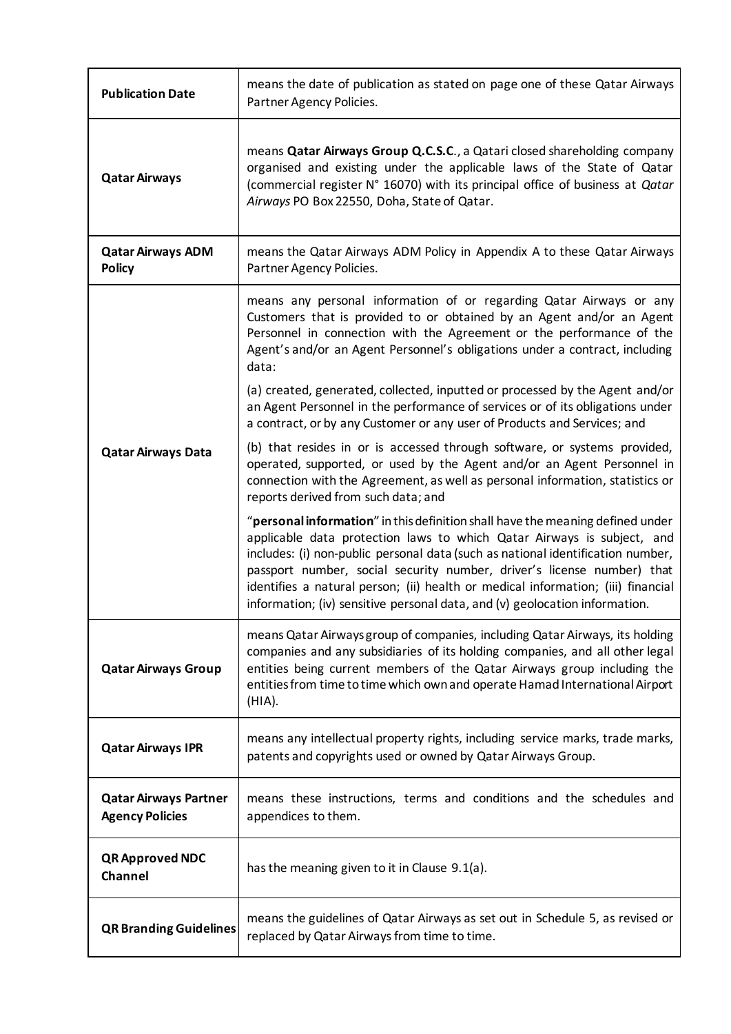| <b>Publication Date</b>                                | means the date of publication as stated on page one of these Qatar Airways<br>Partner Agency Policies.                                                                                                                                                                                                                                                                                                                                                                                                                                                                                                                                                                                                                                                                                                                                                                                                                                                                                                                                                                                                                                                                                                                                                                                                                               |
|--------------------------------------------------------|--------------------------------------------------------------------------------------------------------------------------------------------------------------------------------------------------------------------------------------------------------------------------------------------------------------------------------------------------------------------------------------------------------------------------------------------------------------------------------------------------------------------------------------------------------------------------------------------------------------------------------------------------------------------------------------------------------------------------------------------------------------------------------------------------------------------------------------------------------------------------------------------------------------------------------------------------------------------------------------------------------------------------------------------------------------------------------------------------------------------------------------------------------------------------------------------------------------------------------------------------------------------------------------------------------------------------------------|
| <b>Qatar Airways</b>                                   | means <b>Qatar Airways Group Q.C.S.C.</b> , a Qatari closed shareholding company<br>organised and existing under the applicable laws of the State of Qatar<br>(commercial register N° 16070) with its principal office of business at Qatar<br>Airways PO Box 22550, Doha, State of Qatar.                                                                                                                                                                                                                                                                                                                                                                                                                                                                                                                                                                                                                                                                                                                                                                                                                                                                                                                                                                                                                                           |
| <b>Qatar Airways ADM</b><br><b>Policy</b>              | means the Qatar Airways ADM Policy in Appendix A to these Qatar Airways<br>Partner Agency Policies.                                                                                                                                                                                                                                                                                                                                                                                                                                                                                                                                                                                                                                                                                                                                                                                                                                                                                                                                                                                                                                                                                                                                                                                                                                  |
| <b>Qatar Airways Data</b>                              | means any personal information of or regarding Qatar Airways or any<br>Customers that is provided to or obtained by an Agent and/or an Agent<br>Personnel in connection with the Agreement or the performance of the<br>Agent's and/or an Agent Personnel's obligations under a contract, including<br>data:<br>(a) created, generated, collected, inputted or processed by the Agent and/or<br>an Agent Personnel in the performance of services or of its obligations under<br>a contract, or by any Customer or any user of Products and Services; and<br>(b) that resides in or is accessed through software, or systems provided,<br>operated, supported, or used by the Agent and/or an Agent Personnel in<br>connection with the Agreement, as well as personal information, statistics or<br>reports derived from such data; and<br>"personal information" in this definition shall have the meaning defined under<br>applicable data protection laws to which Qatar Airways is subject, and<br>includes: (i) non-public personal data (such as national identification number,<br>passport number, social security number, driver's license number) that<br>identifies a natural person; (ii) health or medical information; (iii) financial<br>information; (iv) sensitive personal data, and (v) geolocation information. |
| <b>Qatar Airways Group</b>                             | means Qatar Airways group of companies, including Qatar Airways, its holding<br>companies and any subsidiaries of its holding companies, and all other legal<br>entities being current members of the Qatar Airways group including the<br>entities from time to time which own and operate Hamad International Airport<br>(HIA).                                                                                                                                                                                                                                                                                                                                                                                                                                                                                                                                                                                                                                                                                                                                                                                                                                                                                                                                                                                                    |
| <b>Qatar Airways IPR</b>                               | means any intellectual property rights, including service marks, trade marks,<br>patents and copyrights used or owned by Qatar Airways Group.                                                                                                                                                                                                                                                                                                                                                                                                                                                                                                                                                                                                                                                                                                                                                                                                                                                                                                                                                                                                                                                                                                                                                                                        |
| <b>Qatar Airways Partner</b><br><b>Agency Policies</b> | means these instructions, terms and conditions and the schedules and<br>appendices to them.                                                                                                                                                                                                                                                                                                                                                                                                                                                                                                                                                                                                                                                                                                                                                                                                                                                                                                                                                                                                                                                                                                                                                                                                                                          |
| <b>QR Approved NDC</b><br>Channel                      | has the meaning given to it in Clause 9.1(a).                                                                                                                                                                                                                                                                                                                                                                                                                                                                                                                                                                                                                                                                                                                                                                                                                                                                                                                                                                                                                                                                                                                                                                                                                                                                                        |
| <b>QR Branding Guidelines</b>                          | means the guidelines of Qatar Airways as set out in Schedule 5, as revised or<br>replaced by Qatar Airways from time to time.                                                                                                                                                                                                                                                                                                                                                                                                                                                                                                                                                                                                                                                                                                                                                                                                                                                                                                                                                                                                                                                                                                                                                                                                        |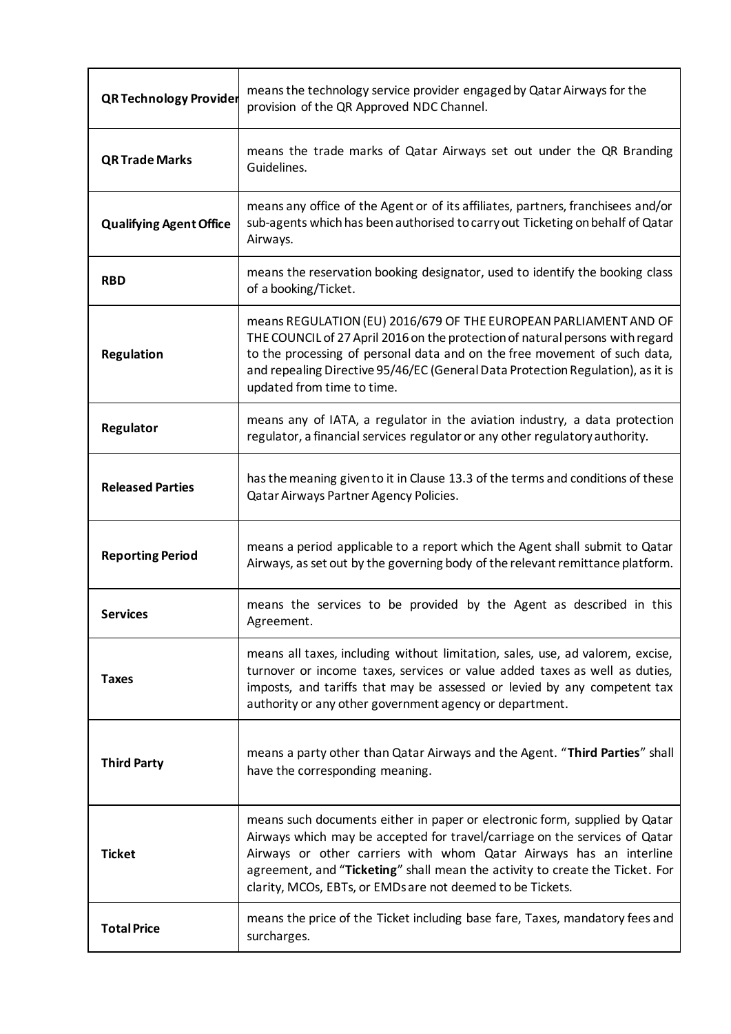| <b>QR Technology Provider</b>  | means the technology service provider engaged by Qatar Airways for the<br>provision of the QR Approved NDC Channel.                                                                                                                                                                                                                                                          |
|--------------------------------|------------------------------------------------------------------------------------------------------------------------------------------------------------------------------------------------------------------------------------------------------------------------------------------------------------------------------------------------------------------------------|
| <b>QR Trade Marks</b>          | means the trade marks of Qatar Airways set out under the QR Branding<br>Guidelines.                                                                                                                                                                                                                                                                                          |
| <b>Qualifying Agent Office</b> | means any office of the Agent or of its affiliates, partners, franchisees and/or<br>sub-agents which has been authorised to carry out Ticketing on behalf of Qatar<br>Airways.                                                                                                                                                                                               |
| <b>RBD</b>                     | means the reservation booking designator, used to identify the booking class<br>of a booking/Ticket.                                                                                                                                                                                                                                                                         |
| Regulation                     | means REGULATION (EU) 2016/679 OF THE EUROPEAN PARLIAMENT AND OF<br>THE COUNCIL of 27 April 2016 on the protection of natural persons with regard<br>to the processing of personal data and on the free movement of such data,<br>and repealing Directive 95/46/EC (General Data Protection Regulation), as it is<br>updated from time to time.                              |
| Regulator                      | means any of IATA, a regulator in the aviation industry, a data protection<br>regulator, a financial services regulator or any other regulatory authority.                                                                                                                                                                                                                   |
| <b>Released Parties</b>        | has the meaning given to it in Clause 13.3 of the terms and conditions of these<br>Qatar Airways Partner Agency Policies.                                                                                                                                                                                                                                                    |
| <b>Reporting Period</b>        | means a period applicable to a report which the Agent shall submit to Qatar<br>Airways, as set out by the governing body of the relevant remittance platform.                                                                                                                                                                                                                |
| <b>Services</b>                | means the services to be provided by the Agent as described in this<br>Agreement.                                                                                                                                                                                                                                                                                            |
| <b>Taxes</b>                   | means all taxes, including without limitation, sales, use, ad valorem, excise,<br>turnover or income taxes, services or value added taxes as well as duties,<br>imposts, and tariffs that may be assessed or levied by any competent tax<br>authority or any other government agency or department.                                                                          |
| <b>Third Party</b>             | means a party other than Qatar Airways and the Agent. "Third Parties" shall<br>have the corresponding meaning.                                                                                                                                                                                                                                                               |
| <b>Ticket</b>                  | means such documents either in paper or electronic form, supplied by Qatar<br>Airways which may be accepted for travel/carriage on the services of Qatar<br>Airways or other carriers with whom Qatar Airways has an interline<br>agreement, and "Ticketing" shall mean the activity to create the Ticket. For<br>clarity, MCOs, EBTs, or EMDs are not deemed to be Tickets. |
| <b>Total Price</b>             | means the price of the Ticket including base fare, Taxes, mandatory fees and<br>surcharges.                                                                                                                                                                                                                                                                                  |